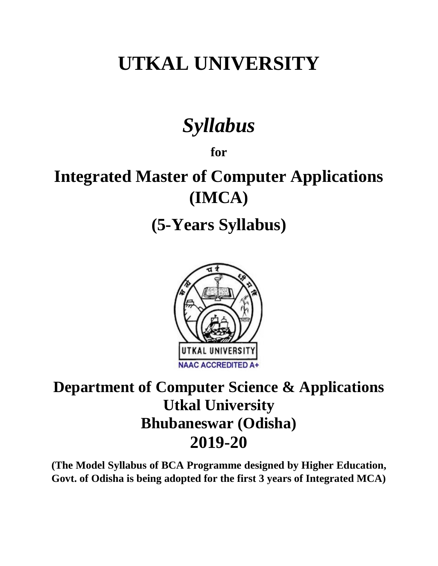# **UTKAL UNIVERSITY**

# *Syllabus*

**for**

# **Integrated Master of Computer Applications (IMCA)**

**(5-Years Syllabus)**



# **Department of Computer Science & Applications Utkal University Bhubaneswar (Odisha) 2019-20**

**(The Model Syllabus of BCA Programme designed by Higher Education, Govt. of Odisha is being adopted for the first 3 years of Integrated MCA)**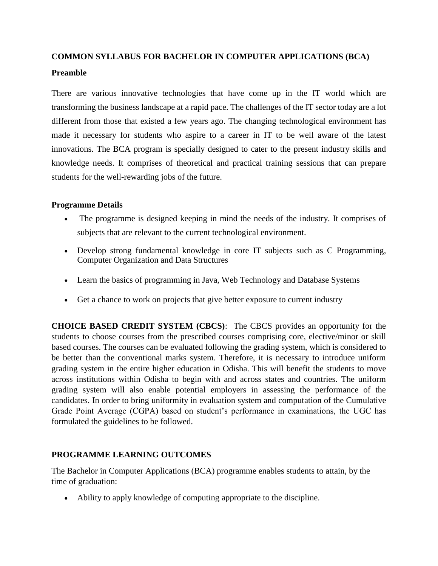# **COMMON SYLLABUS FOR BACHELOR IN COMPUTER APPLICATIONS (BCA) Preamble**

There are various innovative technologies that have come up in the IT world which are transforming the business landscape at a rapid pace. The challenges of the IT sector today are a lot different from those that existed a few years ago. The changing technological environment has made it necessary for students who aspire to a career in IT to be well aware of the latest innovations. The BCA program is specially designed to cater to the present industry skills and knowledge needs. It comprises of theoretical and practical training sessions that can prepare students for the well-rewarding jobs of the future.

#### **Programme Details**

- The programme is designed keeping in mind the needs of the industry. It comprises of subjects that are relevant to the current technological environment.
- Develop strong fundamental knowledge in core IT subjects such as C Programming, Computer Organization and Data Structures
- Learn the basics of programming in Java, Web Technology and Database Systems
- Get a chance to work on projects that give better exposure to current industry

**CHOICE BASED CREDIT SYSTEM (CBCS)**: The CBCS provides an opportunity for the students to choose courses from the prescribed courses comprising core, elective/minor or skill based courses. The courses can be evaluated following the grading system, which is considered to be better than the conventional marks system. Therefore, it is necessary to introduce uniform grading system in the entire higher education in Odisha. This will benefit the students to move across institutions within Odisha to begin with and across states and countries. The uniform grading system will also enable potential employers in assessing the performance of the candidates. In order to bring uniformity in evaluation system and computation of the Cumulative Grade Point Average (CGPA) based on student's performance in examinations, the UGC has formulated the guidelines to be followed.

#### **PROGRAMME LEARNING OUTCOMES**

The Bachelor in Computer Applications (BCA) programme enables students to attain, by the time of graduation:

Ability to apply knowledge of computing appropriate to the discipline.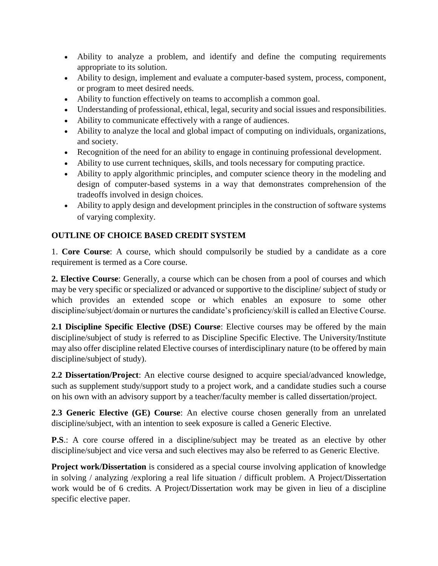- Ability to analyze a problem, and identify and define the computing requirements appropriate to its solution.
- Ability to design, implement and evaluate a computer-based system, process, component, or program to meet desired needs.
- Ability to function effectively on teams to accomplish a common goal.
- Understanding of professional, ethical, legal, security and social issues and responsibilities.
- Ability to communicate effectively with a range of audiences.
- Ability to analyze the local and global impact of computing on individuals, organizations, and society.
- Recognition of the need for an ability to engage in continuing professional development.
- Ability to use current techniques, skills, and tools necessary for computing practice.
- Ability to apply algorithmic principles, and computer science theory in the modeling and design of computer-based systems in a way that demonstrates comprehension of the tradeoffs involved in design choices.
- Ability to apply design and development principles in the construction of software systems of varying complexity.

# **OUTLINE OF CHOICE BASED CREDIT SYSTEM**

1. **Core Course**: A course, which should compulsorily be studied by a candidate as a core requirement is termed as a Core course.

**2. Elective Course**: Generally, a course which can be chosen from a pool of courses and which may be very specific or specialized or advanced or supportive to the discipline/ subject of study or which provides an extended scope or which enables an exposure to some other discipline/subject/domain or nurtures the candidate's proficiency/skill is called an Elective Course.

**2.1 Discipline Specific Elective (DSE) Course**: Elective courses may be offered by the main discipline/subject of study is referred to as Discipline Specific Elective. The University/Institute may also offer discipline related Elective courses of interdisciplinary nature (to be offered by main discipline/subject of study).

**2.2 Dissertation/Project**: An elective course designed to acquire special/advanced knowledge, such as supplement study/support study to a project work, and a candidate studies such a course on his own with an advisory support by a teacher/faculty member is called dissertation/project.

**2.3 Generic Elective (GE) Course**: An elective course chosen generally from an unrelated discipline/subject, with an intention to seek exposure is called a Generic Elective.

**P.S.**: A core course offered in a discipline/subject may be treated as an elective by other discipline/subject and vice versa and such electives may also be referred to as Generic Elective.

**Project work/Dissertation** is considered as a special course involving application of knowledge in solving / analyzing /exploring a real life situation / difficult problem. A Project/Dissertation work would be of 6 credits. A Project/Dissertation work may be given in lieu of a discipline specific elective paper.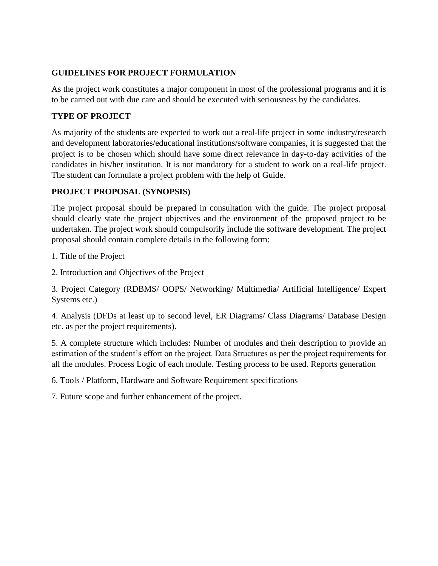# **GUIDELINES FOR PROJECT FORMULATION**

As the project work constitutes a major component in most of the professional programs and it is to be carried out with due care and should be executed with seriousness by the candidates.

# **TYPE OF PROJECT**

As majority of the students are expected to work out a real-life project in some industry/research and development laboratories/educational institutions/software companies, it is suggested that the project is to be chosen which should have some direct relevance in day-to-day activities of the candidates in his/her institution. It is not mandatory for a student to work on a real-life project. The student can formulate a project problem with the help of Guide.

#### **PROJECT PROPOSAL (SYNOPSIS)**

The project proposal should be prepared in consultation with the guide. The project proposal should clearly state the project objectives and the environment of the proposed project to be undertaken. The project work should compulsorily include the software development. The project proposal should contain complete details in the following form:

1. Title of the Project

2. Introduction and Objectives of the Project

3. Project Category (RDBMS/ OOPS/ Networking/ Multimedia/ Artificial Intelligence/ Expert Systems etc.)

4. Analysis (DFDs at least up to second level, ER Diagrams/ Class Diagrams/ Database Design etc. as per the project requirements).

5. A complete structure which includes: Number of modules and their description to provide an estimation of the student's effort on the project. Data Structures as per the project requirements for all the modules. Process Logic of each module. Testing process to be used. Reports generation

6. Tools / Platform, Hardware and Software Requirement specifications

7. Future scope and further enhancement of the project.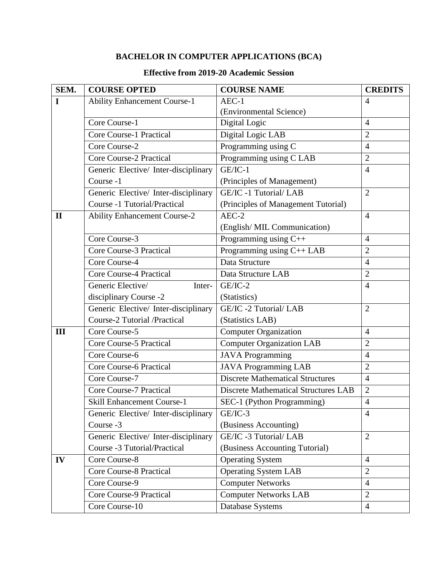# **BACHELOR IN COMPUTER APPLICATIONS (BCA)**

# **Effective from 2019-20 Academic Session**

| SEM.         | <b>COURSE OPTED</b>                  | <b>COURSE NAME</b>                          | <b>CREDITS</b> |
|--------------|--------------------------------------|---------------------------------------------|----------------|
| I            | <b>Ability Enhancement Course-1</b>  | $AEC-1$                                     | $\overline{4}$ |
|              |                                      | (Environmental Science)                     |                |
|              | Core Course-1                        | Digital Logic                               | $\overline{4}$ |
|              | <b>Core Course-1 Practical</b>       | Digital Logic LAB                           | $\overline{2}$ |
|              | Core Course-2                        | Programming using C                         | $\overline{4}$ |
|              | <b>Core Course-2 Practical</b>       | Programming using C LAB                     | $\overline{2}$ |
|              | Generic Elective/ Inter-disciplinary | GE/IC-1                                     | $\overline{4}$ |
|              | Course -1                            | (Principles of Management)                  |                |
|              | Generic Elective/ Inter-disciplinary | GE/IC -1 Tutorial/ LAB                      | $\overline{2}$ |
|              | Course -1 Tutorial/Practical         | (Principles of Management Tutorial)         |                |
| $\mathbf{I}$ | <b>Ability Enhancement Course-2</b>  | $AEC-2$                                     | $\overline{4}$ |
|              |                                      | (English/MIL Communication)                 |                |
|              | Core Course-3                        | Programming using C++                       | $\overline{4}$ |
|              | Core Course-3 Practical              | Programming using C++ LAB                   | $\overline{2}$ |
|              | Core Course-4                        | Data Structure                              | $\overline{4}$ |
|              | <b>Core Course-4 Practical</b>       | Data Structure LAB                          | $\overline{2}$ |
|              | Generic Elective/<br>Inter-          | $GE/IC-2$                                   | $\overline{4}$ |
|              | disciplinary Course -2               | (Statistics)                                |                |
|              | Generic Elective/ Inter-disciplinary | GE/IC -2 Tutorial/ LAB                      | $\overline{2}$ |
|              | Course-2 Tutorial /Practical         | (Statistics LAB)                            |                |
| III          | Core Course-5                        | <b>Computer Organization</b>                | $\overline{4}$ |
|              | Core Course-5 Practical              | <b>Computer Organization LAB</b>            | $\overline{2}$ |
|              | Core Course-6                        | <b>JAVA Programming</b>                     | $\overline{4}$ |
|              | <b>Core Course-6 Practical</b>       | <b>JAVA Programming LAB</b>                 | $\overline{2}$ |
|              | Core Course-7                        | <b>Discrete Mathematical Structures</b>     | $\overline{4}$ |
|              | <b>Core Course-7 Practical</b>       | <b>Discrete Mathematical Structures LAB</b> | $\overline{2}$ |
|              | <b>Skill Enhancement Course-1</b>    | SEC-1 (Python Programming)                  | $\overline{4}$ |
|              | Generic Elective/Inter-disciplinary  | GE/IC-3                                     | $\overline{4}$ |
|              | Course -3                            | (Business Accounting)                       |                |
|              | Generic Elective/ Inter-disciplinary | GE/IC -3 Tutorial/ LAB                      | $\overline{2}$ |
|              | Course -3 Tutorial/Practical         | (Business Accounting Tutorial)              |                |
| IV           | Core Course-8                        | <b>Operating System</b>                     | $\overline{4}$ |
|              | Core Course-8 Practical              | <b>Operating System LAB</b>                 | $\overline{2}$ |
|              | Core Course-9                        | <b>Computer Networks</b>                    | $\overline{4}$ |
|              | Core Course-9 Practical              | <b>Computer Networks LAB</b>                | $\overline{2}$ |
|              | Core Course-10                       | Database Systems                            | $\overline{4}$ |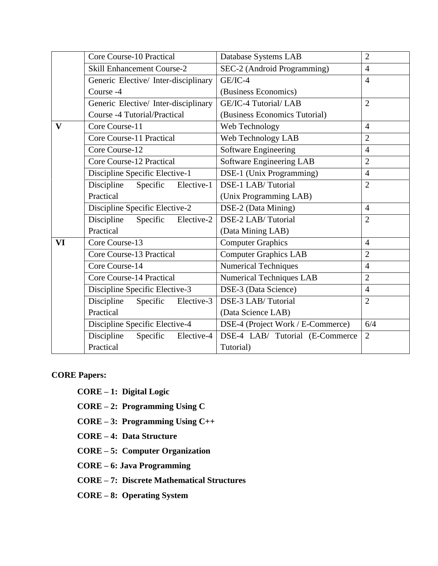|              | Core Course-10 Practical             | Database Systems LAB              | $\overline{2}$ |
|--------------|--------------------------------------|-----------------------------------|----------------|
|              | <b>Skill Enhancement Course-2</b>    | SEC-2 (Android Programming)       | $\overline{4}$ |
|              | Generic Elective/Inter-disciplinary  | $GE/IC-4$                         | $\overline{4}$ |
|              | Course -4                            | (Business Economics)              |                |
|              | Generic Elective/ Inter-disciplinary | GE/IC-4 Tutorial/ LAB             | $\overline{2}$ |
|              | <b>Course -4 Tutorial/Practical</b>  | (Business Economics Tutorial)     |                |
| $\mathbf{V}$ | Core Course-11                       | Web Technology                    | $\overline{4}$ |
|              | Core Course-11 Practical             | Web Technology LAB                | $\overline{2}$ |
|              | Core Course-12                       | <b>Software Engineering</b>       | $\overline{4}$ |
|              | Core Course-12 Practical             | <b>Software Engineering LAB</b>   | $\overline{2}$ |
|              | Discipline Specific Elective-1       | DSE-1 (Unix Programming)          | $\overline{4}$ |
|              | Discipline<br>Specific<br>Elective-1 | DSE-1 LAB/Tutorial                | $\overline{2}$ |
|              | Practical                            | (Unix Programming LAB)            |                |
|              | Discipline Specific Elective-2       | DSE-2 (Data Mining)               | $\overline{4}$ |
|              | Discipline<br>Specific<br>Elective-2 | DSE-2 LAB/Tutorial                | $\overline{2}$ |
|              | Practical                            | (Data Mining LAB)                 |                |
| VI           | Core Course-13                       | <b>Computer Graphics</b>          | $\overline{4}$ |
|              | Core Course-13 Practical             | <b>Computer Graphics LAB</b>      | $\overline{2}$ |
|              | Core Course-14                       | <b>Numerical Techniques</b>       | $\overline{4}$ |
|              | Core Course-14 Practical             | <b>Numerical Techniques LAB</b>   | $\overline{2}$ |
|              | Discipline Specific Elective-3       | DSE-3 (Data Science)              | $\overline{4}$ |
|              | Discipline<br>Elective-3<br>Specific | DSE-3 LAB/Tutorial                | $\overline{2}$ |
|              | Practical                            | (Data Science LAB)                |                |
|              | Discipline Specific Elective-4       | DSE-4 (Project Work / E-Commerce) | 6/4            |
|              | Discipline<br>Specific<br>Elective-4 | DSE-4 LAB/ Tutorial (E-Commerce   | $\overline{2}$ |
|              | Practical                            | Tutorial)                         |                |

# **CORE Papers:**

- **CORE – 1: Digital Logic**
- **CORE – 2: Programming Using C**
- **CORE – 3: Programming Using C++**
- **CORE – 4: Data Structure**
- **CORE – 5: Computer Organization**
- **CORE – 6: Java Programming**
- **CORE – 7: Discrete Mathematical Structures**
- **CORE – 8: Operating System**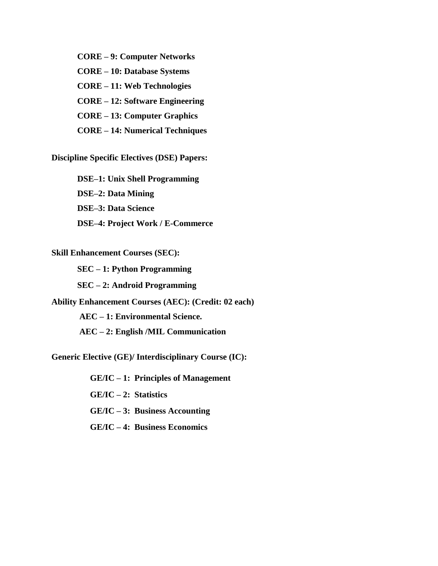**CORE – 9: Computer Networks CORE – 10: Database Systems CORE – 11: Web Technologies CORE – 12: Software Engineering CORE – 13: Computer Graphics CORE – 14: Numerical Techniques**

**Discipline Specific Electives (DSE) Papers:**

**DSE–1: Unix Shell Programming DSE–2: Data Mining DSE–3: Data Science DSE–4: Project Work / E-Commerce** 

**Skill Enhancement Courses (SEC):**

**SEC – 1: Python Programming SEC – 2: Android Programming Ability Enhancement Courses (AEC): (Credit: 02 each) AEC – 1: Environmental Science. AEC – 2: English /MIL Communication**

**Generic Elective (GE)/ Interdisciplinary Course (IC):**

 **GE/IC – 1: Principles of Management** 

 **GE/IC – 2: Statistics** 

 **GE/IC – 3: Business Accounting** 

**GE/IC – 4: Business Economics**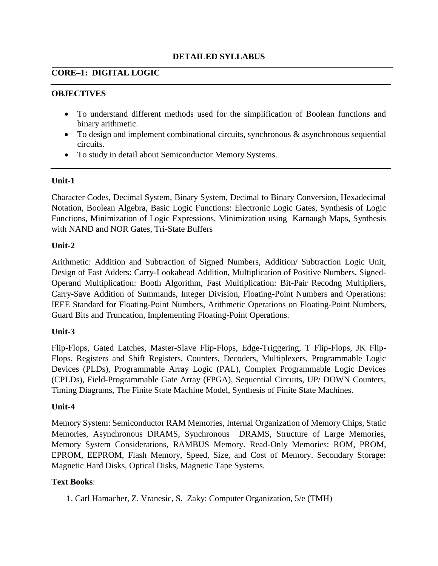#### **DETAILED SYLLABUS**

#### **CORE–1: DIGITAL LOGIC**

#### **OBJECTIVES**

- To understand different methods used for the simplification of Boolean functions and binary arithmetic.
- $\bullet$  To design and implement combinational circuits, synchronous & asynchronous sequential circuits.
- To study in detail about Semiconductor Memory Systems.

#### **Unit-1**

Character Codes, Decimal System, Binary System, Decimal to Binary Conversion, Hexadecimal Notation, Boolean Algebra, Basic Logic Functions: Electronic Logic Gates, Synthesis of Logic Functions, Minimization of Logic Expressions, Minimization using Karnaugh Maps, Synthesis with NAND and NOR Gates, Tri-State Buffers

#### **Unit-2**

Arithmetic: Addition and Subtraction of Signed Numbers, Addition/ Subtraction Logic Unit, Design of Fast Adders: Carry-Lookahead Addition, Multiplication of Positive Numbers, Signed-Operand Multiplication: Booth Algorithm, Fast Multiplication: Bit-Pair Recodng Multipliers, Carry-Save Addition of Summands, Integer Division, Floating-Point Numbers and Operations: IEEE Standard for Floating-Point Numbers, Arithmetic Operations on Floating-Point Numbers, Guard Bits and Truncation, Implementing Floating-Point Operations.

#### **Unit-3**

Flip-Flops, Gated Latches, Master-Slave Flip-Flops, Edge-Triggering, T Flip-Flops, JK Flip-Flops. Registers and Shift Registers, Counters, Decoders, Multiplexers, Programmable Logic Devices (PLDs), Programmable Array Logic (PAL), Complex Programmable Logic Devices (CPLDs), Field-Programmable Gate Array (FPGA), Sequential Circuits, UP/ DOWN Counters, Timing Diagrams, The Finite State Machine Model, Synthesis of Finite State Machines.

#### **Unit-4**

Memory System: Semiconductor RAM Memories, Internal Organization of Memory Chips, Static Memories, Asynchronous DRAMS, Synchronous DRAMS, Structure of Large Memories, Memory System Considerations, RAMBUS Memory. Read-Only Memories: ROM, PROM, EPROM, EEPROM, Flash Memory, Speed, Size, and Cost of Memory. Secondary Storage: Magnetic Hard Disks, Optical Disks, Magnetic Tape Systems.

#### **Text Books**:

1. Carl Hamacher, Z. Vranesic, S. Zaky: Computer Organization, 5/e (TMH)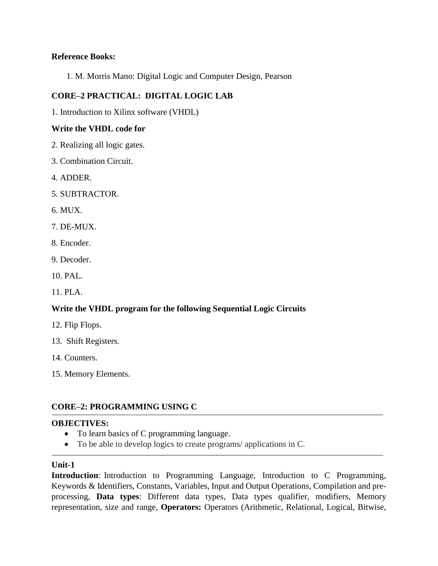#### **Reference Books:**

1. M. Morris Mano: Digital Logic and Computer Design, Pearson

### **CORE–2 PRACTICAL: DIGITAL LOGIC LAB**

1. Introduction to Xilinx software (VHDL)

#### **Write the VHDL code for**

- 2. Realizing all logic gates.
- 3. Combination Circuit.
- 4. ADDER.
- 5. SUBTRACTOR.
- 6. MUX.
- 7. DE-MUX.
- 8. Encoder.
- 9. Decoder.
- 10. PAL.
- 11. PLA.

#### **Write the VHDL program for the following Sequential Logic Circuits**

- 12. Flip Flops.
- 13. Shift Registers.
- 14. Counters.
- 15. Memory Elements.

#### **CORE–2: PROGRAMMING USING C**

#### **OBJECTIVES:**

- To learn basics of C programming language.
- To be able to develop logics to create programs/ applications in C.

#### **Unit-1**

**Introduction**: Introduction to Programming Language, Introduction to C Programming, Keywords & Identifiers, Constants, Variables, Input and Output Operations, Compilation and preprocessing, **Data types**: Different data types, Data types qualifier, modifiers, Memory representation, size and range, **Operators:** Operators (Arithmetic, Relational, Logical, Bitwise,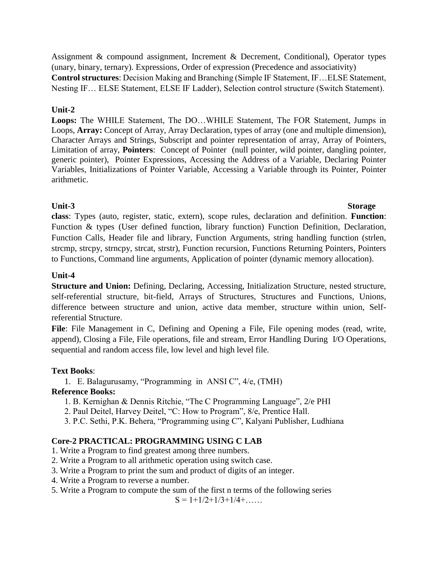Assignment & compound assignment, Increment & Decrement, Conditional), Operator types (unary, binary, ternary). Expressions, Order of expression (Precedence and associativity) **Control structures**: Decision Making and Branching (Simple IF Statement, IF…ELSE Statement, Nesting IF… ELSE Statement, ELSE IF Ladder), Selection control structure (Switch Statement).

#### **Unit-2**

**Loops:** The WHILE Statement, The DO…WHILE Statement, The FOR Statement, Jumps in Loops, **Array:** Concept of Array, Array Declaration, types of array (one and multiple dimension), Character Arrays and Strings, Subscript and pointer representation of array, Array of Pointers, Limitation of array, **Pointers**: Concept of Pointer (null pointer, wild pointer, dangling pointer, generic pointer), Pointer Expressions, Accessing the Address of a Variable, Declaring Pointer Variables, Initializations of Pointer Variable, Accessing a Variable through its Pointer, Pointer arithmetic.

#### **Unit-3 Storage**

**class**: Types (auto, register, static, extern), scope rules, declaration and definition. **Function**: Function & types (User defined function, library function) Function Definition, Declaration, Function Calls, Header file and library, Function Arguments, string handling function (strlen, strcmp, strcpy, strncpy, strcat, strstr), Function recursion, Functions Returning Pointers, Pointers to Functions, Command line arguments, Application of pointer (dynamic memory allocation).

### **Unit-4**

**Structure and Union:** Defining, Declaring, Accessing, Initialization Structure, nested structure, self-referential structure, bit-field, Arrays of Structures, Structures and Functions, Unions, difference between structure and union, active data member, structure within union, Selfreferential Structure.

**File**: File Management in C, Defining and Opening a File, File opening modes (read, write, append), Closing a File, File operations, file and stream, Error Handling During I/O Operations, sequential and random access file, low level and high level file.

#### **Text Books**:

1. E. Balagurusamy, "Programming in ANSI C", 4/e, (TMH)

# **Reference Books:**

- 1. B. Kernighan & Dennis Ritchie, "The C Programming Language", 2/e PHI
- 2. Paul Deitel, Harvey Deitel, "C: How to Program", 8/e, Prentice Hall.
- 3. P.C. Sethi, P.K. Behera, "Programming using C", Kalyani Publisher, Ludhiana

# **Core-2 PRACTICAL: PROGRAMMING USING C LAB**

- 1. Write a Program to find greatest among three numbers.
- 2. Write a Program to all arithmetic operation using switch case.
- 3. Write a Program to print the sum and product of digits of an integer.
- 4. Write a Program to reverse a number.
- 5. Write a Program to compute the sum of the first n terms of the following series

 $S = 1 + 1/2 + 1/3 + 1/4 + \ldots$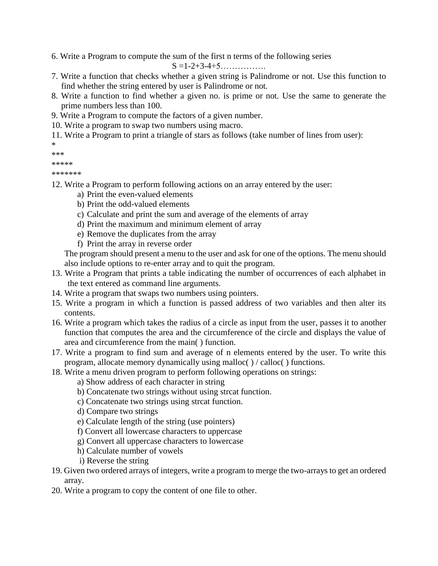6. Write a Program to compute the sum of the first n terms of the following series

S =1-2+3-4+5…………….

- 7. Write a function that checks whether a given string is Palindrome or not. Use this function to find whether the string entered by user is Palindrome or not.
- 8. Write a function to find whether a given no. is prime or not. Use the same to generate the prime numbers less than 100.
- 9. Write a Program to compute the factors of a given number.
- 10. Write a program to swap two numbers using macro.
- 11. Write a Program to print a triangle of stars as follows (take number of lines from user):

```
*
```

```
***
```

```
*****
```
\*\*\*\*\*\*\*

- 12. Write a Program to perform following actions on an array entered by the user:
	- a) Print the even-valued elements
	- b) Print the odd-valued elements
	- c) Calculate and print the sum and average of the elements of array
	- d) Print the maximum and minimum element of array
	- e) Remove the duplicates from the array
	- f) Print the array in reverse order

The program should present a menu to the user and ask for one of the options. The menu should also include options to re-enter array and to quit the program.

- 13. Write a Program that prints a table indicating the number of occurrences of each alphabet in the text entered as command line arguments.
- 14. Write a program that swaps two numbers using pointers.
- 15. Write a program in which a function is passed address of two variables and then alter its contents.
- 16. Write a program which takes the radius of a circle as input from the user, passes it to another function that computes the area and the circumference of the circle and displays the value of area and circumference from the main( ) function.
- 17. Write a program to find sum and average of n elements entered by the user. To write this program, allocate memory dynamically using malloc( ) / calloc( ) functions.
- 18. Write a menu driven program to perform following operations on strings:
	- a) Show address of each character in string
	- b) Concatenate two strings without using strcat function.
	- c) Concatenate two strings using strcat function.
	- d) Compare two strings
	- e) Calculate length of the string (use pointers)
	- f) Convert all lowercase characters to uppercase
	- g) Convert all uppercase characters to lowercase
	- h) Calculate number of vowels
	- i) Reverse the string
- 19. Given two ordered arrays of integers, write a program to merge the two-arrays to get an ordered array.
- 20. Write a program to copy the content of one file to other.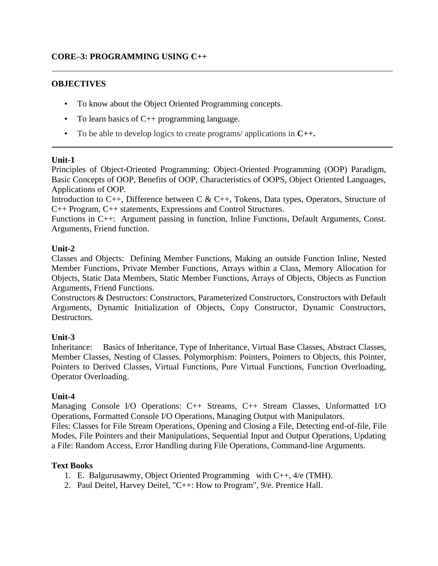### **CORE–3: PROGRAMMING USING C++**

#### **OBJECTIVES**

- To know about the Object Oriented Programming concepts.
- To learn basics of C++ programming language.
- To be able to develop logics to create programs/ applications in **C++.**

#### **Unit-1**

Principles of Object-Oriented Programming: Object-Oriented Programming (OOP) Paradigm, Basic Concepts of OOP, Benefits of OOP, Characteristics of OOPS, Object Oriented Languages, Applications of OOP.

Introduction to C++, Difference between C & C++, Tokens, Data types, Operators, Structure of C++ Program, C++ statements, Expressions and Control Structures.

Functions in C++: Argument passing in function, Inline Functions, Default Arguments, Const. Arguments, Friend function.

#### **Unit-2**

Classes and Objects: Defining Member Functions, Making an outside Function Inline, Nested Member Functions, Private Member Functions, Arrays within a Class, Memory Allocation for Objects, Static Data Members, Static Member Functions, Arrays of Objects, Objects as Function Arguments, Friend Functions.

Constructors & Destructors: Constructors, Parameterized Constructors, Constructors with Default Arguments, Dynamic Initialization of Objects, Copy Constructor, Dynamic Constructors, Destructors.

#### **Unit-3**

Inheritance: Basics of Inheritance, Type of Inheritance, Virtual Base Classes, Abstract Classes, Member Classes, Nesting of Classes. Polymorphism: Pointers, Pointers to Objects, this Pointer, Pointers to Derived Classes, Virtual Functions, Pure Virtual Functions, Function Overloading, Operator Overloading.

#### **Unit-4**

Managing Console I/O Operations: C++ Streams, C++ Stream Classes, Unformatted I/O Operations, Formatted Console I/O Operations, Managing Output with Manipulators. Files: Classes for File Stream Operations, Opening and Closing a File, Detecting end-of-file, File Modes, File Pointers and their Manipulations, Sequential Input and Output Operations, Updating a File: Random Access, Error Handling during File Operations, Command-line Arguments.

#### **Text Books**

- 1. E. Balgurusawmy, Object Oriented Programming with C++, 4/e (TMH).
- 2. Paul Deitel, Harvey Deitel, "C++: How to Program", 9/e. Prentice Hall.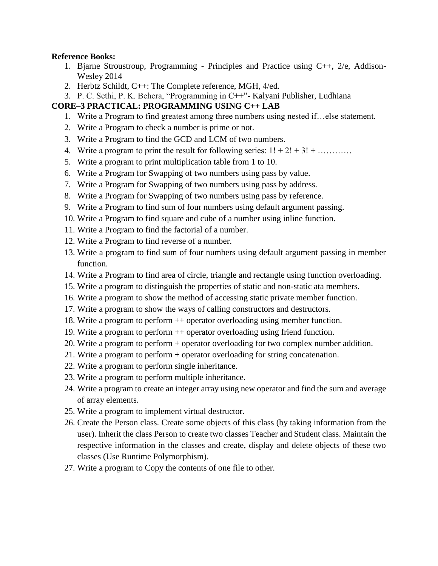#### **Reference Books:**

- 1. Bjarne Stroustroup, Programming Principles and Practice using C++, 2/e, Addison-Wesley 2014
- 2. Herbtz Schildt, C++: The Complete reference, MGH, 4/ed.
- 3. P. C. Sethi, P. K. Behera, "Programming in C++"- Kalyani Publisher, Ludhiana

#### **CORE–3 PRACTICAL: PROGRAMMING USING C++ LAB**

- 1. Write a Program to find greatest among three numbers using nested if…else statement.
- 2. Write a Program to check a number is prime or not.
- 3. Write a Program to find the GCD and LCM of two numbers.
- 4. Write a program to print the result for following series:  $1! + 2! + 3! + \dots$
- 5. Write a program to print multiplication table from 1 to 10.
- 6. Write a Program for Swapping of two numbers using pass by value.
- 7. Write a Program for Swapping of two numbers using pass by address.
- 8. Write a Program for Swapping of two numbers using pass by reference.
- 9. Write a Program to find sum of four numbers using default argument passing.
- 10. Write a Program to find square and cube of a number using inline function.
- 11. Write a Program to find the factorial of a number.
- 12. Write a Program to find reverse of a number.
- 13. Write a program to find sum of four numbers using default argument passing in member function.
- 14. Write a Program to find area of circle, triangle and rectangle using function overloading.
- 15. Write a program to distinguish the properties of static and non-static ata members.
- 16. Write a program to show the method of accessing static private member function.
- 17. Write a program to show the ways of calling constructors and destructors.
- 18. Write a program to perform ++ operator overloading using member function.
- 19. Write a program to perform ++ operator overloading using friend function.
- 20. Write a program to perform + operator overloading for two complex number addition.
- 21. Write a program to perform + operator overloading for string concatenation.
- 22. Write a program to perform single inheritance.
- 23. Write a program to perform multiple inheritance.
- 24. Write a program to create an integer array using new operator and find the sum and average of array elements.
- 25. Write a program to implement virtual destructor.
- 26. Create the Person class. Create some objects of this class (by taking information from the user). Inherit the class Person to create two classes Teacher and Student class. Maintain the respective information in the classes and create, display and delete objects of these two classes (Use Runtime Polymorphism).
- 27. Write a program to Copy the contents of one file to other.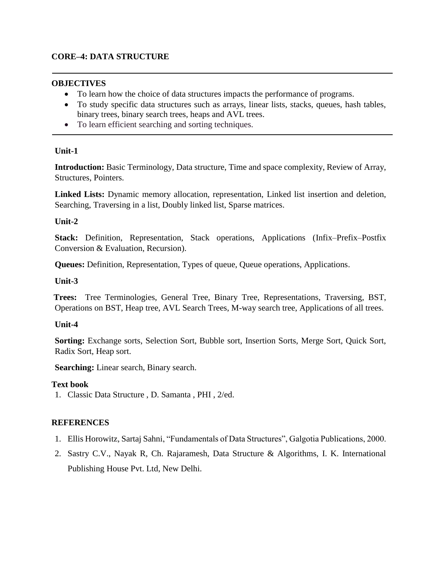#### **CORE–4: DATA STRUCTURE**

#### **OBJECTIVES**

- To learn how the choice of data structures impacts the performance of programs.
- To study specific data structures such as arrays, linear lists, stacks, queues, hash tables, binary trees, binary search trees, heaps and AVL trees.
- To learn efficient searching and sorting techniques.

#### **Unit-1**

**Introduction:** Basic Terminology, Data structure, Time and space complexity, Review of Array, Structures, Pointers.

**Linked Lists:** Dynamic memory allocation, representation, Linked list insertion and deletion, Searching, Traversing in a list, Doubly linked list, Sparse matrices.

#### **Unit-2**

**Stack:** Definition, Representation, Stack operations, Applications (Infix–Prefix–Postfix Conversion & Evaluation, Recursion).

**Queues:** Definition, Representation, Types of queue, Queue operations, Applications.

#### **Unit-3**

**Trees:** Tree Terminologies, General Tree, Binary Tree, Representations, Traversing, BST, Operations on BST, Heap tree, AVL Search Trees, M-way search tree, Applications of all trees.

#### **Unit-4**

**Sorting:** Exchange sorts, Selection Sort, Bubble sort, Insertion Sorts, Merge Sort, Quick Sort, Radix Sort, Heap sort.

**Searching:** Linear search, Binary search.

#### **Text book**

1. Classic Data Structure , D. Samanta , PHI , 2/ed.

#### **REFERENCES**

- 1. Ellis Horowitz, Sartaj Sahni, "Fundamentals of Data Structures", Galgotia Publications, 2000.
- 2. Sastry C.V., Nayak R, Ch. Rajaramesh, Data Structure & Algorithms, I. K. International Publishing House Pvt. Ltd, New Delhi.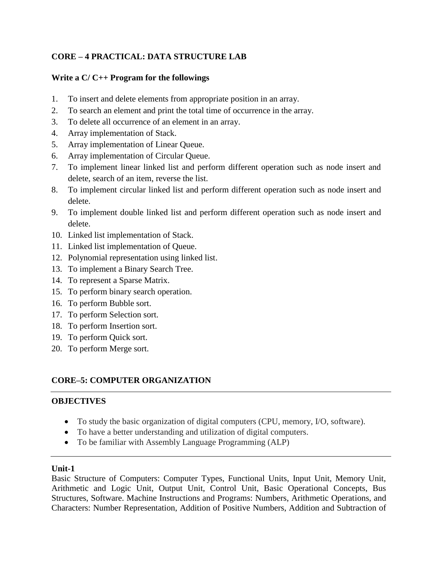# **CORE – 4 PRACTICAL: DATA STRUCTURE LAB**

#### **Write a C/ C++ Program for the followings**

- 1. To insert and delete elements from appropriate position in an array.
- 2. To search an element and print the total time of occurrence in the array.
- 3. To delete all occurrence of an element in an array.
- 4. Array implementation of Stack.
- 5. Array implementation of Linear Queue.
- 6. Array implementation of Circular Queue.
- 7. To implement linear linked list and perform different operation such as node insert and delete, search of an item, reverse the list.
- 8. To implement circular linked list and perform different operation such as node insert and delete.
- 9. To implement double linked list and perform different operation such as node insert and delete.
- 10. Linked list implementation of Stack.
- 11. Linked list implementation of Queue.
- 12. Polynomial representation using linked list.
- 13. To implement a Binary Search Tree.
- 14. To represent a Sparse Matrix.
- 15. To perform binary search operation.
- 16. To perform Bubble sort.
- 17. To perform Selection sort.
- 18. To perform Insertion sort.
- 19. To perform Quick sort.
- 20. To perform Merge sort.

# **CORE–5: COMPUTER ORGANIZATION**

#### **OBJECTIVES**

- To study the basic organization of digital computers (CPU, memory, I/O, software).
- To have a better understanding and utilization of digital computers.
- To be familiar with Assembly Language Programming (ALP)

#### **Unit-1**

Basic Structure of Computers: Computer Types, Functional Units, Input Unit, Memory Unit, Arithmetic and Logic Unit, Output Unit, Control Unit, Basic Operational Concepts, Bus Structures, Software. Machine Instructions and Programs: Numbers, Arithmetic Operations, and Characters: Number Representation, Addition of Positive Numbers, Addition and Subtraction of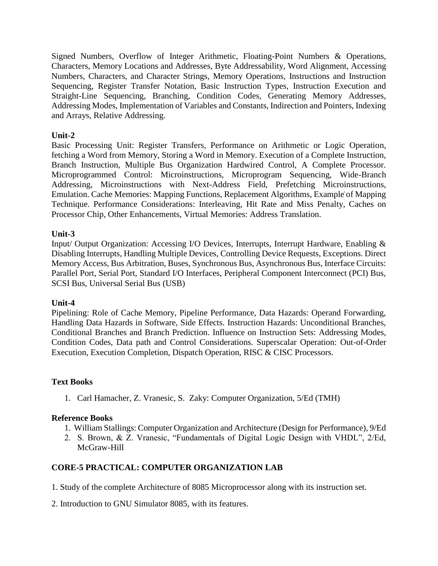Signed Numbers, Overflow of Integer Arithmetic, Floating-Point Numbers & Operations, Characters, Memory Locations and Addresses, Byte Addressability, Word Alignment, Accessing Numbers, Characters, and Character Strings, Memory Operations, Instructions and Instruction Sequencing, Register Transfer Notation, Basic Instruction Types, Instruction Execution and Straight-Line Sequencing, Branching, Condition Codes, Generating Memory Addresses, Addressing Modes, Implementation of Variables and Constants, Indirection and Pointers, Indexing and Arrays, Relative Addressing.

#### **Unit-2**

Basic Processing Unit: Register Transfers, Performance on Arithmetic or Logic Operation, fetching a Word from Memory, Storing a Word in Memory. Execution of a Complete Instruction, Branch Instruction, Multiple Bus Organization Hardwired Control, A Complete Processor. Microprogrammed Control: Microinstructions, Microprogram Sequencing, Wide-Branch Addressing, Microinstructions with Next-Address Field, Prefetching Microinstructions, Emulation. Cache Memories: Mapping Functions, Replacement Algorithms, Example of Mapping Technique. Performance Considerations: Interleaving, Hit Rate and Miss Penalty, Caches on Processor Chip, Other Enhancements, Virtual Memories: Address Translation.

#### **Unit-3**

Input/ Output Organization: Accessing I/O Devices, Interrupts, Interrupt Hardware, Enabling & Disabling Interrupts, Handling Multiple Devices, Controlling Device Requests, Exceptions. Direct Memory Access, Bus Arbitration, Buses, Synchronous Bus, Asynchronous Bus, Interface Circuits: Parallel Port, Serial Port, Standard I/O Interfaces, Peripheral Component Interconnect (PCI) Bus, SCSI Bus, Universal Serial Bus (USB)

#### **Unit-4**

Pipelining: Role of Cache Memory, Pipeline Performance, Data Hazards: Operand Forwarding, Handling Data Hazards in Software, Side Effects. Instruction Hazards: Unconditional Branches, Conditional Branches and Branch Prediction. Influence on Instruction Sets: Addressing Modes, Condition Codes, Data path and Control Considerations. Superscalar Operation: Out-of-Order Execution, Execution Completion, Dispatch Operation, RISC & CISC Processors.

#### **Text Books**

1. Carl Hamacher, Z. Vranesic, S. Zaky: Computer Organization, 5/Ed (TMH)

#### **Reference Books**

- 1. William Stallings: Computer Organization and Architecture (Design for Performance), 9/Ed
- 2. S. Brown, & Z. Vranesic, "Fundamentals of Digital Logic Design with VHDL", 2/Ed, McGraw-Hill

#### **CORE-5 PRACTICAL: COMPUTER ORGANIZATION LAB**

1. Study of the complete Architecture of 8085 Microprocessor along with its instruction set.

2. Introduction to GNU Simulator 8085, with its features.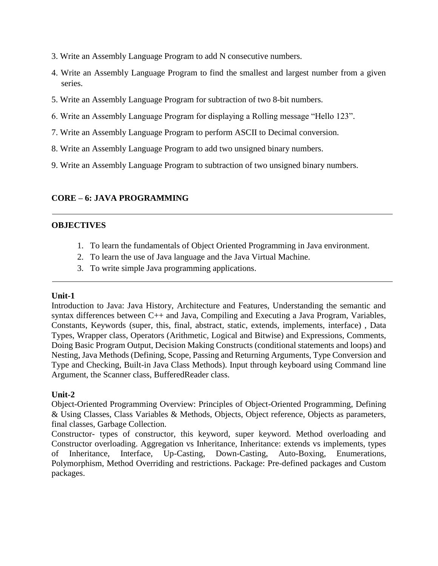- 3. Write an Assembly Language Program to add N consecutive numbers.
- 4. Write an Assembly Language Program to find the smallest and largest number from a given series.
- 5. Write an Assembly Language Program for subtraction of two 8-bit numbers.
- 6. Write an Assembly Language Program for displaying a Rolling message "Hello 123".
- 7. Write an Assembly Language Program to perform ASCII to Decimal conversion.
- 8. Write an Assembly Language Program to add two unsigned binary numbers.
- 9. Write an Assembly Language Program to subtraction of two unsigned binary numbers.

#### **CORE – 6: JAVA PROGRAMMING**

#### **OBJECTIVES**

- 1. To learn the fundamentals of Object Oriented Programming in Java environment.
- 2. To learn the use of Java language and the Java Virtual Machine.
- 3. To write simple Java programming applications.

#### **Unit-1**

Introduction to Java: Java History, Architecture and Features, Understanding the semantic and syntax differences between C++ and Java, Compiling and Executing a Java Program, Variables, Constants, Keywords (super, this, final, abstract, static, extends, implements, interface) , Data Types, Wrapper class, Operators (Arithmetic, Logical and Bitwise) and Expressions, Comments, Doing Basic Program Output, Decision Making Constructs (conditional statements and loops) and Nesting, Java Methods (Defining, Scope, Passing and Returning Arguments, Type Conversion and Type and Checking, Built-in Java Class Methods). Input through keyboard using Command line Argument, the Scanner class, BufferedReader class.

#### **Unit-2**

Object-Oriented Programming Overview: Principles of Object-Oriented Programming, Defining & Using Classes, Class Variables & Methods, Objects, Object reference, Objects as parameters, final classes, Garbage Collection.

Constructor- types of constructor, this keyword, super keyword. Method overloading and Constructor overloading. Aggregation vs Inheritance, Inheritance: extends vs implements, types of Inheritance, Interface, Up-Casting, Down-Casting, Auto-Boxing, Enumerations, Polymorphism, Method Overriding and restrictions. Package: Pre-defined packages and Custom packages.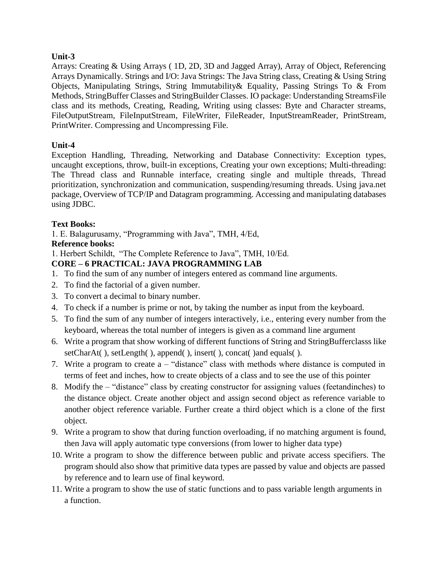Arrays: Creating & Using Arrays ( 1D, 2D, 3D and Jagged Array), Array of Object, Referencing Arrays Dynamically. Strings and I/O: Java Strings: The Java String class, Creating & Using String Objects, Manipulating Strings, String Immutability& Equality, Passing Strings To & From Methods, StringBuffer Classes and StringBuilder Classes. IO package: Understanding StreamsFile class and its methods, Creating, Reading, Writing using classes: Byte and Character streams, FileOutputStream, FileInputStream, FileWriter, FileReader, InputStreamReader, PrintStream, PrintWriter. Compressing and Uncompressing File.

#### **Unit-4**

Exception Handling, Threading, Networking and Database Connectivity: Exception types, uncaught exceptions, throw, built-in exceptions, Creating your own exceptions; Multi-threading: The Thread class and Runnable interface, creating single and multiple threads, Thread prioritization, synchronization and communication, suspending/resuming threads. Using java.net package, Overview of TCP/IP and Datagram programming. Accessing and manipulating databases using JDBC.

#### **Text Books:**

1. E. Balagurusamy, "Programming with Java", TMH, 4/Ed,

# **Reference books:**

1. Herbert Schildt, "The Complete Reference to Java", TMH, 10/Ed.

# **CORE – 6 PRACTICAL: JAVA PROGRAMMING LAB**

- 1. To find the sum of any number of integers entered as command line arguments.
- 2. To find the factorial of a given number.
- 3. To convert a decimal to binary number.
- 4. To check if a number is prime or not, by taking the number as input from the keyboard.
- 5. To find the sum of any number of integers interactively, i.e., entering every number from the keyboard, whereas the total number of integers is given as a command line argument
- 6. Write a program that show working of different functions of String and StringBufferclasss like setCharAt(), setLength(), append(), insert(), concat() and equals().
- 7. Write a program to create a "distance" class with methods where distance is computed in terms of feet and inches, how to create objects of a class and to see the use of this pointer
- 8. Modify the "distance" class by creating constructor for assigning values (feetandinches) to the distance object. Create another object and assign second object as reference variable to another object reference variable. Further create a third object which is a clone of the first object.
- 9. Write a program to show that during function overloading, if no matching argument is found, then Java will apply automatic type conversions (from lower to higher data type)
- 10. Write a program to show the difference between public and private access specifiers. The program should also show that primitive data types are passed by value and objects are passed by reference and to learn use of final keyword.
- 11. Write a program to show the use of static functions and to pass variable length arguments in a function.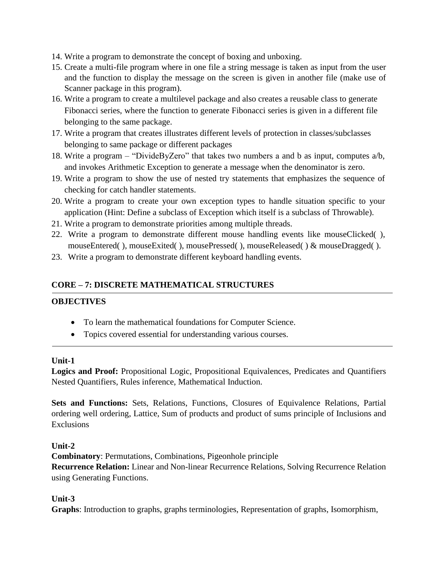- 14. Write a program to demonstrate the concept of boxing and unboxing.
- 15. Create a multi-file program where in one file a string message is taken as input from the user and the function to display the message on the screen is given in another file (make use of Scanner package in this program).
- 16. Write a program to create a multilevel package and also creates a reusable class to generate Fibonacci series, where the function to generate Fibonacci series is given in a different file belonging to the same package.
- 17. Write a program that creates illustrates different levels of protection in classes/subclasses belonging to same package or different packages
- 18. Write a program "DivideByZero" that takes two numbers a and b as input, computes a/b, and invokes Arithmetic Exception to generate a message when the denominator is zero.
- 19. Write a program to show the use of nested try statements that emphasizes the sequence of checking for catch handler statements.
- 20. Write a program to create your own exception types to handle situation specific to your application (Hint: Define a subclass of Exception which itself is a subclass of Throwable).
- 21. Write a program to demonstrate priorities among multiple threads.
- 22. Write a program to demonstrate different mouse handling events like mouseClicked( ), mouseEntered(), mouseExited(), mousePressed(), mouseReleased() & mouseDragged().
- 23. Write a program to demonstrate different keyboard handling events.

# **CORE – 7: DISCRETE MATHEMATICAL STRUCTURES**

#### **OBJECTIVES**

- To learn the mathematical foundations for Computer Science.
- Topics covered essential for understanding various courses.

#### **Unit-1**

**Logics and Proof:** Propositional Logic, Propositional Equivalences, Predicates and Quantifiers Nested Quantifiers, Rules inference, Mathematical Induction.

**Sets and Functions:** Sets, Relations, Functions, Closures of Equivalence Relations, Partial ordering well ordering, Lattice, Sum of products and product of sums principle of Inclusions and Exclusions

#### **Unit-2**

**Combinatory**: Permutations, Combinations, Pigeonhole principle **Recurrence Relation:** Linear and Non-linear Recurrence Relations, Solving Recurrence Relation using Generating Functions.

#### **Unit-3**

**Graphs**: Introduction to graphs, graphs terminologies, Representation of graphs, Isomorphism,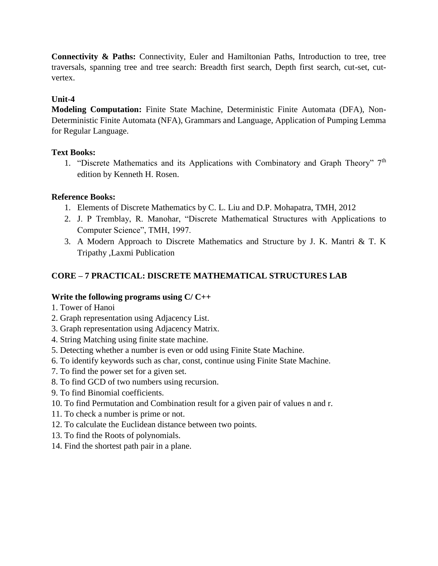**Connectivity & Paths:** Connectivity, Euler and Hamiltonian Paths, Introduction to tree, tree traversals, spanning tree and tree search: Breadth first search, Depth first search, cut-set, cutvertex.

#### **Unit-4**

**Modeling Computation:** Finite State Machine, Deterministic Finite Automata (DFA), Non-Deterministic Finite Automata (NFA), Grammars and Language, Application of Pumping Lemma for Regular Language.

#### **Text Books:**

1. "Discrete Mathematics and its Applications with Combinatory and Graph Theory" 7th edition by Kenneth H. Rosen.

#### **Reference Books:**

- 1. Elements of Discrete Mathematics by C. L. Liu and D.P. Mohapatra, TMH, 2012
- 2. J. P Tremblay, R. Manohar, "Discrete Mathematical Structures with Applications to Computer Science", TMH, 1997.
- 3. A Modern Approach to Discrete Mathematics and Structure by J. K. Mantri & T. K Tripathy ,Laxmi Publication

### **CORE – 7 PRACTICAL: DISCRETE MATHEMATICAL STRUCTURES LAB**

#### **Write the following programs using C/ C++**

- 1. Tower of Hanoi
- 2. Graph representation using Adjacency List.
- 3. Graph representation using Adjacency Matrix.
- 4. String Matching using finite state machine.
- 5. Detecting whether a number is even or odd using Finite State Machine.
- 6. To identify keywords such as char, const, continue using Finite State Machine.
- 7. To find the power set for a given set.
- 8. To find GCD of two numbers using recursion.
- 9. To find Binomial coefficients.
- 10. To find Permutation and Combination result for a given pair of values n and r.
- 11. To check a number is prime or not.
- 12. To calculate the Euclidean distance between two points.
- 13. To find the Roots of polynomials.
- 14. Find the shortest path pair in a plane.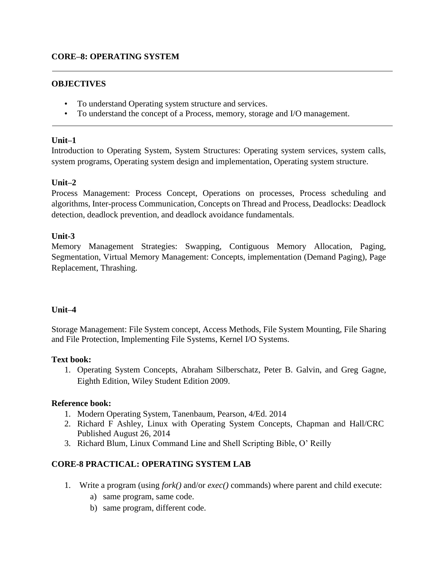#### **OBJECTIVES**

- To understand Operating system structure and services.
- To understand the concept of a Process, memory, storage and I/O management.

#### **Unit–1**

Introduction to Operating System, System Structures: Operating system services, system calls, system programs, Operating system design and implementation, Operating system structure.

#### **Unit–2**

Process Management: Process Concept, Operations on processes, Process scheduling and algorithms, Inter-process Communication, Concepts on Thread and Process, Deadlocks: Deadlock detection, deadlock prevention, and deadlock avoidance fundamentals.

#### **Unit-3**

Memory Management Strategies: Swapping, Contiguous Memory Allocation, Paging, Segmentation, Virtual Memory Management: Concepts, implementation (Demand Paging), Page Replacement, Thrashing.

#### **Unit–4**

Storage Management: File System concept, Access Methods, File System Mounting, File Sharing and File Protection, Implementing File Systems, Kernel I/O Systems.

#### **Text book:**

1. Operating System Concepts, Abraham Silberschatz, Peter B. Galvin, and Greg Gagne, Eighth Edition, Wiley Student Edition 2009.

#### **Reference book:**

- 1. Modern Operating System, Tanenbaum, Pearson, 4/Ed. 2014
- 2. Richard F Ashley, Linux with Operating System Concepts, Chapman and Hall/CRC Published August 26, 2014
- 3. Richard Blum, Linux Command Line and Shell Scripting Bible, O' Reilly

#### **CORE-8 PRACTICAL: OPERATING SYSTEM LAB**

- 1. Write a program (using *fork()* and/or *exec()* commands) where parent and child execute:
	- a) same program, same code.
	- b) same program, different code.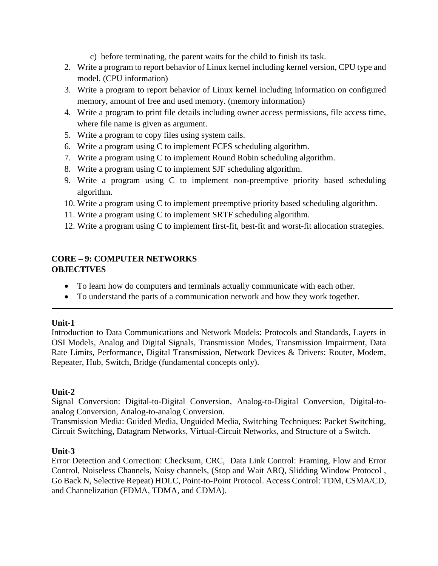- c) before terminating, the parent waits for the child to finish its task.
- 2. Write a program to report behavior of Linux kernel including kernel version, CPU type and model. (CPU information)
- 3. Write a program to report behavior of Linux kernel including information on configured memory, amount of free and used memory. (memory information)
- 4. Write a program to print file details including owner access permissions, file access time, where file name is given as argument.
- 5. Write a program to copy files using system calls.
- 6. Write a program using C to implement FCFS scheduling algorithm.
- 7. Write a program using C to implement Round Robin scheduling algorithm.
- 8. Write a program using C to implement SJF scheduling algorithm.
- 9. Write a program using C to implement non-preemptive priority based scheduling algorithm.
- 10. Write a program using C to implement preemptive priority based scheduling algorithm.
- 11. Write a program using C to implement SRTF scheduling algorithm.
- 12. Write a program using C to implement first-fit, best-fit and worst-fit allocation strategies.

#### **CORE – 9: COMPUTER NETWORKS OBJECTIVES**

- To learn how do computers and terminals actually communicate with each other.
- To understand the parts of a communication network and how they work together.

#### **Unit-1**

Introduction to Data Communications and Network Models: Protocols and Standards, Layers in OSI Models, Analog and Digital Signals, Transmission Modes, Transmission Impairment, Data Rate Limits, Performance, Digital Transmission, Network Devices & Drivers: Router, Modem, Repeater, Hub, Switch, Bridge (fundamental concepts only).

#### **Unit-2**

Signal Conversion: Digital-to-Digital Conversion, Analog-to-Digital Conversion, Digital-toanalog Conversion, Analog-to-analog Conversion.

Transmission Media: Guided Media, Unguided Media, Switching Techniques: Packet Switching, Circuit Switching, Datagram Networks, Virtual-Circuit Networks, and Structure of a Switch.

#### **Unit-3**

Error Detection and Correction: Checksum, CRC, Data Link Control: Framing, Flow and Error Control, Noiseless Channels, Noisy channels, (Stop and Wait ARQ, Slidding Window Protocol , Go Back N, Selective Repeat) HDLC, Point-to-Point Protocol. Access Control: TDM, CSMA/CD, and Channelization (FDMA, TDMA, and CDMA).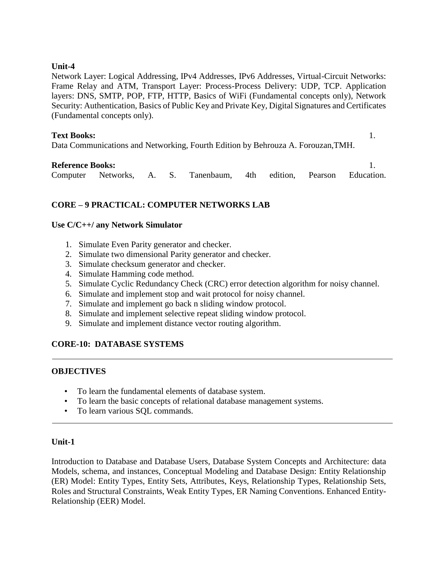Network Layer: Logical Addressing, IPv4 Addresses, IPv6 Addresses, Virtual-Circuit Networks: Frame Relay and ATM, Transport Layer: Process-Process Delivery: UDP, TCP. Application layers: DNS, SMTP, POP, FTP, HTTP, Basics of WiFi (Fundamental concepts only), Network Security: Authentication, Basics of Public Key and Private Key, Digital Signatures and Certificates (Fundamental concepts only).

#### **Text Books:** 1.

Data Communications and Networking, Fourth Edition by Behrouza A. Forouzan,TMH.

#### **Reference Books:** 1.

Computer Networks, A. S. Tanenbaum, 4th edition, Pearson Education.

# **CORE – 9 PRACTICAL: COMPUTER NETWORKS LAB**

#### **Use C/C++/ any Network Simulator**

- 1. Simulate Even Parity generator and checker.
- 2. Simulate two dimensional Parity generator and checker.
- 3. Simulate checksum generator and checker.
- 4. Simulate Hamming code method.
- 5. Simulate Cyclic Redundancy Check (CRC) error detection algorithm for noisy channel.
- 6. Simulate and implement stop and wait protocol for noisy channel.
- 7. Simulate and implement go back n sliding window protocol.
- 8. Simulate and implement selective repeat sliding window protocol.
- 9. Simulate and implement distance vector routing algorithm.

#### **CORE-10: DATABASE SYSTEMS**

#### **OBJECTIVES**

- To learn the fundamental elements of database system.
- To learn the basic concepts of relational database management systems.
- To learn various SQL commands.

#### **Unit-1**

Introduction to Database and Database Users, Database System Concepts and Architecture: data Models, schema, and instances, Conceptual Modeling and Database Design: Entity Relationship (ER) Model: Entity Types, Entity Sets, Attributes, Keys, Relationship Types, Relationship Sets, Roles and Structural Constraints, Weak Entity Types, ER Naming Conventions. Enhanced Entity-Relationship (EER) Model.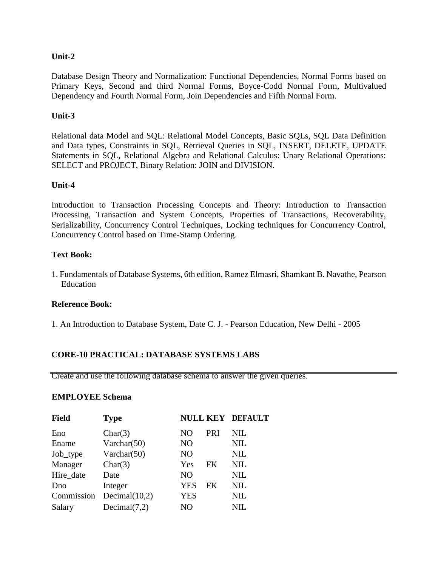Database Design Theory and Normalization: Functional Dependencies, Normal Forms based on Primary Keys, Second and third Normal Forms, Boyce-Codd Normal Form, Multivalued Dependency and Fourth Normal Form, Join Dependencies and Fifth Normal Form.

#### **Unit-3**

Relational data Model and SQL: Relational Model Concepts, Basic SQLs, SQL Data Definition and Data types, Constraints in SQL, Retrieval Queries in SQL, INSERT, DELETE, UPDATE Statements in SQL, Relational Algebra and Relational Calculus: Unary Relational Operations: SELECT and PROJECT, Binary Relation: JOIN and DIVISION.

#### **Unit-4**

Introduction to Transaction Processing Concepts and Theory: Introduction to Transaction Processing, Transaction and System Concepts, Properties of Transactions, Recoverability, Serializability, Concurrency Control Techniques, Locking techniques for Concurrency Control, Concurrency Control based on Time-Stamp Ordering.

#### **Text Book:**

1. Fundamentals of Database Systems, 6th edition, Ramez Elmasri, Shamkant B. Navathe, Pearson Education

#### **Reference Book:**

1. An Introduction to Database System, Date C. J. - Pearson Education, New Delhi - 2005

#### **CORE-10 PRACTICAL: DATABASE SYSTEMS LABS**

Create and use the following database schema to answer the given queries.

#### **EMPLOYEE Schema**

| <b>Field</b> | <b>Type</b>      |                |     | <b>NULL KEY DEFAULT</b> |
|--------------|------------------|----------------|-----|-------------------------|
| Eno          | Char(3)          | NO             | PRI | NIL                     |
| Ename        | Varchar $(50)$   | N <sub>O</sub> |     | NIL                     |
| Job_type     | Varchar $(50)$   | N <sub>O</sub> |     | <b>NIL</b>              |
| Manager      | Char(3)          | Yes            | FK  | <b>NIL</b>              |
| Hire date    | Date             | N <sub>O</sub> |     | <b>NIL</b>              |
| Dno          | Integer          | <b>YES</b>     | FK  | <b>NIL</b>              |
| Commission   | Decimal $(10,2)$ | <b>YES</b>     |     | <b>NIL</b>              |
| Salary       | Decimal(7,2)     | NO             |     | $\rm NIL$               |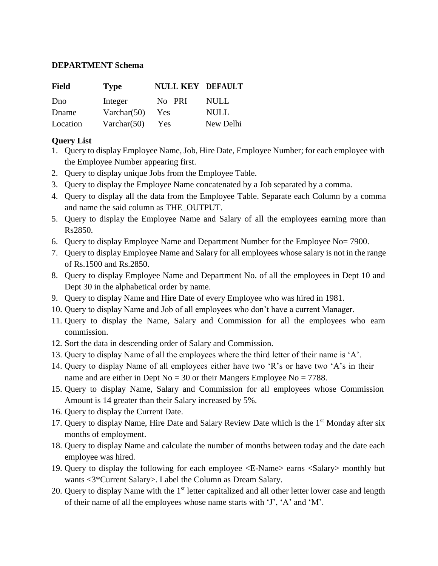#### **DEPARTMENT Schema**

| Field    | <b>Type</b>    | <b>NULL KEY DEFAULT</b> |           |
|----------|----------------|-------------------------|-----------|
| Dno      | Integer        | No PRI                  | NULL.     |
| Dname    | Varchar $(50)$ | Yes                     | NULL      |
| Location | Varchar(50)    | Yes                     | New Delhi |

#### **Query List**

- 1. Query to display Employee Name, Job, Hire Date, Employee Number; for each employee with the Employee Number appearing first.
- 2. Query to display unique Jobs from the Employee Table.
- 3. Query to display the Employee Name concatenated by a Job separated by a comma.
- 4. Query to display all the data from the Employee Table. Separate each Column by a comma and name the said column as THE\_OUTPUT.
- 5. Query to display the Employee Name and Salary of all the employees earning more than Rs2850.
- 6. Query to display Employee Name and Department Number for the Employee No= 7900.
- 7. Query to display Employee Name and Salary for all employees whose salary is not in the range of Rs.1500 and Rs.2850.
- 8. Query to display Employee Name and Department No. of all the employees in Dept 10 and Dept 30 in the alphabetical order by name.
- 9. Query to display Name and Hire Date of every Employee who was hired in 1981.
- 10. Query to display Name and Job of all employees who don't have a current Manager.
- 11. Query to display the Name, Salary and Commission for all the employees who earn commission.
- 12. Sort the data in descending order of Salary and Commission.
- 13. Query to display Name of all the employees where the third letter of their name is 'A'.
- 14. Query to display Name of all employees either have two 'R's or have two 'A's in their name and are either in Dept No =  $30$  or their Mangers Employee No =  $7788$ .
- 15. Query to display Name, Salary and Commission for all employees whose Commission Amount is 14 greater than their Salary increased by 5%.
- 16. Query to display the Current Date.
- 17. Query to display Name, Hire Date and Salary Review Date which is the 1<sup>st</sup> Monday after six months of employment.
- 18. Query to display Name and calculate the number of months between today and the date each employee was hired.
- 19. Query to display the following for each employee <E-Name> earns <Salary> monthly but wants <3\*Current Salary>. Label the Column as Dream Salary.
- 20. Query to display Name with the  $1<sup>st</sup>$  letter capitalized and all other letter lower case and length of their name of all the employees whose name starts with 'J', 'A' and 'M'.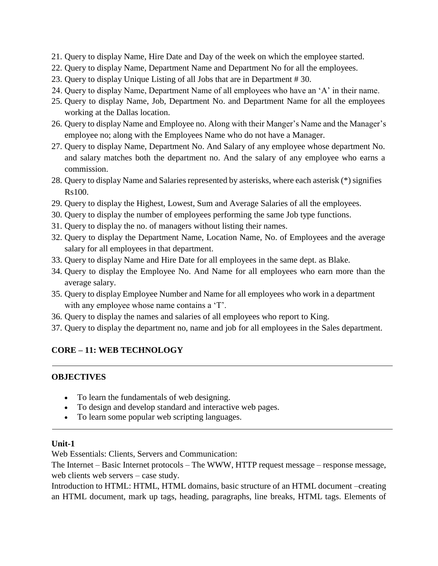- 21. Query to display Name, Hire Date and Day of the week on which the employee started.
- 22. Query to display Name, Department Name and Department No for all the employees.
- 23. Query to display Unique Listing of all Jobs that are in Department # 30.
- 24. Query to display Name, Department Name of all employees who have an 'A' in their name.
- 25. Query to display Name, Job, Department No. and Department Name for all the employees working at the Dallas location.
- 26. Query to display Name and Employee no. Along with their Manger's Name and the Manager's employee no; along with the Employees Name who do not have a Manager.
- 27. Query to display Name, Department No. And Salary of any employee whose department No. and salary matches both the department no. And the salary of any employee who earns a commission.
- 28. Query to display Name and Salaries represented by asterisks, where each asterisk (\*) signifies Rs100.
- 29. Query to display the Highest, Lowest, Sum and Average Salaries of all the employees.
- 30. Query to display the number of employees performing the same Job type functions.
- 31. Query to display the no. of managers without listing their names.
- 32. Query to display the Department Name, Location Name, No. of Employees and the average salary for all employees in that department.
- 33. Query to display Name and Hire Date for all employees in the same dept. as Blake.
- 34. Query to display the Employee No. And Name for all employees who earn more than the average salary.
- 35. Query to display Employee Number and Name for all employees who work in a department with any employee whose name contains a 'T'.
- 36. Query to display the names and salaries of all employees who report to King.
- 37. Query to display the department no, name and job for all employees in the Sales department.

# **CORE – 11: WEB TECHNOLOGY**

#### **OBJECTIVES**

- To learn the fundamentals of web designing.
- To design and develop standard and interactive web pages.
- To learn some popular web scripting languages.

#### **Unit-1**

Web Essentials: Clients, Servers and Communication:

The Internet – Basic Internet protocols – The WWW, HTTP request message – response message, web clients web servers – case study.

Introduction to HTML: HTML, HTML domains, basic structure of an HTML document –creating an HTML document, mark up tags, heading, paragraphs, line breaks, HTML tags. Elements of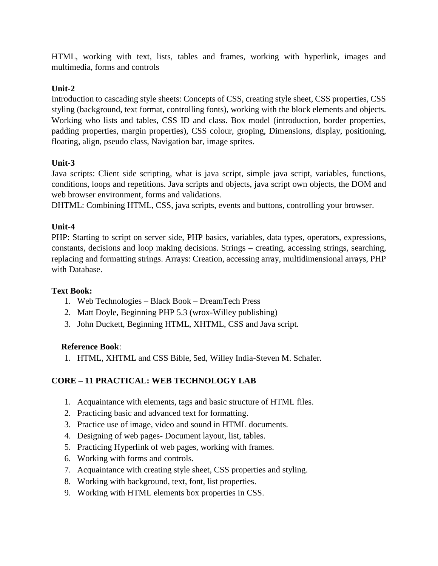HTML, working with text, lists, tables and frames, working with hyperlink, images and multimedia, forms and controls

# **Unit-2**

Introduction to cascading style sheets: Concepts of CSS, creating style sheet, CSS properties, CSS styling (background, text format, controlling fonts), working with the block elements and objects. Working who lists and tables, CSS ID and class. Box model (introduction, border properties, padding properties, margin properties), CSS colour, groping, Dimensions, display, positioning, floating, align, pseudo class, Navigation bar, image sprites.

### **Unit-3**

Java scripts: Client side scripting, what is java script, simple java script, variables, functions, conditions, loops and repetitions. Java scripts and objects, java script own objects, the DOM and web browser environment, forms and validations.

DHTML: Combining HTML, CSS, java scripts, events and buttons, controlling your browser.

#### **Unit-4**

PHP: Starting to script on server side, PHP basics, variables, data types, operators, expressions, constants, decisions and loop making decisions. Strings – creating, accessing strings, searching, replacing and formatting strings. Arrays: Creation, accessing array, multidimensional arrays, PHP with Database.

#### **Text Book:**

- 1. Web Technologies Black Book DreamTech Press
- 2. Matt Doyle, Beginning PHP 5.3 (wrox-Willey publishing)
- 3. John Duckett, Beginning HTML, XHTML, CSS and Java script.

#### **Reference Book**:

1. HTML, XHTML and CSS Bible, 5ed, Willey India-Steven M. Schafer.

# **CORE – 11 PRACTICAL: WEB TECHNOLOGY LAB**

- 1. Acquaintance with elements, tags and basic structure of HTML files.
- 2. Practicing basic and advanced text for formatting.
- 3. Practice use of image, video and sound in HTML documents.
- 4. Designing of web pages- Document layout, list, tables.
- 5. Practicing Hyperlink of web pages, working with frames.
- 6. Working with forms and controls.
- 7. Acquaintance with creating style sheet, CSS properties and styling.
- 8. Working with background, text, font, list properties.
- 9. Working with HTML elements box properties in CSS.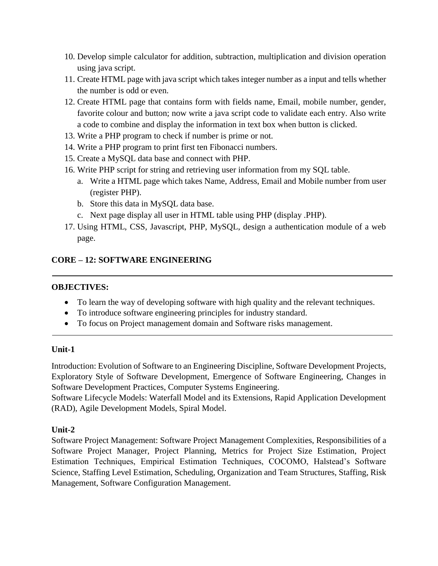- 10. Develop simple calculator for addition, subtraction, multiplication and division operation using java script.
- 11. Create HTML page with java script which takes integer number as a input and tells whether the number is odd or even.
- 12. Create HTML page that contains form with fields name, Email, mobile number, gender, favorite colour and button; now write a java script code to validate each entry. Also write a code to combine and display the information in text box when button is clicked.
- 13. Write a PHP program to check if number is prime or not.
- 14. Write a PHP program to print first ten Fibonacci numbers.
- 15. Create a MySQL data base and connect with PHP.
- 16. Write PHP script for string and retrieving user information from my SQL table.
	- a. Write a HTML page which takes Name, Address, Email and Mobile number from user (register PHP).
	- b. Store this data in MySQL data base.
	- c. Next page display all user in HTML table using PHP (display .PHP).
- 17. Using HTML, CSS, Javascript, PHP, MySQL, design a authentication module of a web page.

# **CORE – 12: SOFTWARE ENGINEERING**

#### **OBJECTIVES:**

- To learn the way of developing software with high quality and the relevant techniques.
- To introduce software engineering principles for industry standard.
- To focus on Project management domain and Software risks management.

#### **Unit-1**

Introduction: Evolution of Software to an Engineering Discipline, Software Development Projects, Exploratory Style of Software Development, Emergence of Software Engineering, Changes in Software Development Practices, Computer Systems Engineering.

Software Lifecycle Models: Waterfall Model and its Extensions, Rapid Application Development (RAD), Agile Development Models, Spiral Model.

#### **Unit-2**

Software Project Management: Software Project Management Complexities, Responsibilities of a Software Project Manager, Project Planning, Metrics for Project Size Estimation, Project Estimation Techniques, Empirical Estimation Techniques, COCOMO, Halstead's Software Science, Staffing Level Estimation, Scheduling, Organization and Team Structures, Staffing, Risk Management, Software Configuration Management.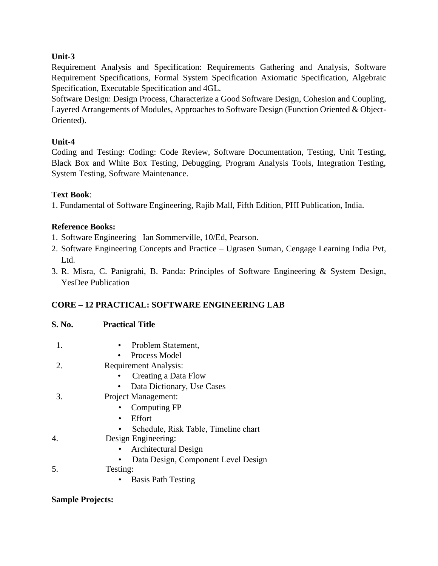Requirement Analysis and Specification: Requirements Gathering and Analysis, Software Requirement Specifications, Formal System Specification Axiomatic Specification, Algebraic Specification, Executable Specification and 4GL.

Software Design: Design Process, Characterize a Good Software Design, Cohesion and Coupling, Layered Arrangements of Modules, Approaches to Software Design (Function Oriented & Object-Oriented).

# **Unit-4**

Coding and Testing: Coding: Code Review, Software Documentation, Testing, Unit Testing, Black Box and White Box Testing, Debugging, Program Analysis Tools, Integration Testing, System Testing, Software Maintenance.

### **Text Book**:

1. Fundamental of Software Engineering, Rajib Mall, Fifth Edition, PHI Publication, India.

### **Reference Books:**

1. Software Engineering– Ian Sommerville, 10/Ed, Pearson.

- 2. Software Engineering Concepts and Practice Ugrasen Suman, Cengage Learning India Pvt, Ltd.
- 3. R. Misra, C. Panigrahi, B. Panda: Principles of Software Engineering & System Design, YesDee Publication

# **CORE – 12 PRACTICAL: SOFTWARE ENGINEERING LAB**

| S. No. | <b>Practical Title</b> |  |
|--------|------------------------|--|
|        |                        |  |

- 1. Problem Statement,
	- Process Model
- 2. Requirement Analysis:
	- Creating a Data Flow
	- Data Dictionary, Use Cases
- 3. Project Management:
	- Computing FP
	- Effort
	- Schedule, Risk Table, Timeline chart
- 4. Design Engineering:
	- Architectural Design
	- Data Design, Component Level Design
- 5. Testing:
	- Basis Path Testing

#### **Sample Projects:**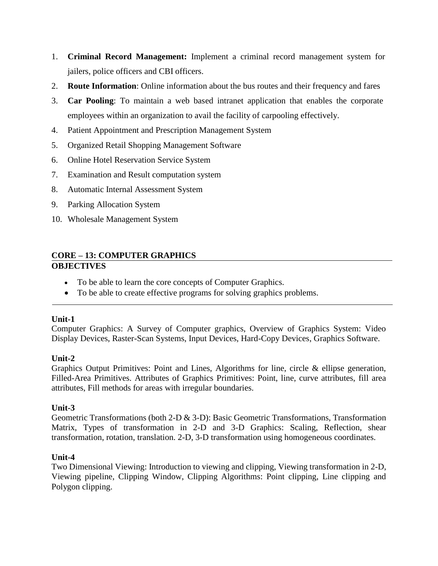- 1. **Criminal Record Management:** Implement a criminal record management system for jailers, police officers and CBI officers.
- 2. **Route Information**: Online information about the bus routes and their frequency and fares
- 3. **Car Pooling**: To maintain a web based intranet application that enables the corporate employees within an organization to avail the facility of carpooling effectively.
- 4. Patient Appointment and Prescription Management System
- 5. Organized Retail Shopping Management Software
- 6. Online Hotel Reservation Service System
- 7. Examination and Result computation system
- 8. Automatic Internal Assessment System
- 9. Parking Allocation System
- 10. Wholesale Management System

# **CORE – 13: COMPUTER GRAPHICS OBJECTIVES**

- To be able to learn the core concepts of Computer Graphics.
- To be able to create effective programs for solving graphics problems.

#### **Unit-1**

Computer Graphics: A Survey of Computer graphics, Overview of Graphics System: Video Display Devices, Raster-Scan Systems, Input Devices, Hard-Copy Devices, Graphics Software.

# **Unit-2**

Graphics Output Primitives: Point and Lines, Algorithms for line, circle & ellipse generation, Filled-Area Primitives. Attributes of Graphics Primitives: Point, line, curve attributes, fill area attributes, Fill methods for areas with irregular boundaries.

#### **Unit-3**

Geometric Transformations (both 2-D & 3-D): Basic Geometric Transformations, Transformation Matrix, Types of transformation in 2-D and 3-D Graphics: Scaling, Reflection, shear transformation, rotation, translation. 2-D, 3-D transformation using homogeneous coordinates.

#### **Unit-4**

Two Dimensional Viewing: Introduction to viewing and clipping, Viewing transformation in 2-D, Viewing pipeline, Clipping Window, Clipping Algorithms: Point clipping, Line clipping and Polygon clipping.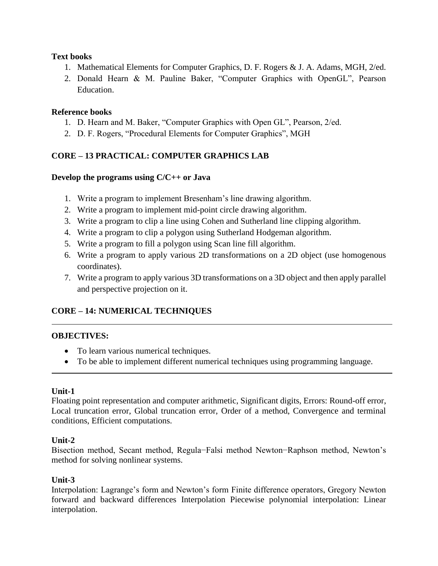#### **Text books**

- 1. Mathematical Elements for Computer Graphics, D. F. Rogers & J. A. Adams, MGH, 2/ed.
- 2. Donald Hearn & M. Pauline Baker, "Computer Graphics with OpenGL", Pearson Education.

#### **Reference books**

- 1. D. Hearn and M. Baker, "Computer Graphics with Open GL", Pearson, 2/ed.
- 2. D. F. Rogers, "Procedural Elements for Computer Graphics", MGH

#### **CORE – 13 PRACTICAL: COMPUTER GRAPHICS LAB**

#### **Develop the programs using C/C++ or Java**

- 1. Write a program to implement Bresenham's line drawing algorithm.
- 2. Write a program to implement mid-point circle drawing algorithm.
- 3. Write a program to clip a line using Cohen and Sutherland line clipping algorithm.
- 4. Write a program to clip a polygon using Sutherland Hodgeman algorithm.
- 5. Write a program to fill a polygon using Scan line fill algorithm.
- 6. Write a program to apply various 2D transformations on a 2D object (use homogenous coordinates).
- 7. Write a program to apply various 3D transformations on a 3D object and then apply parallel and perspective projection on it.

#### **CORE – 14: NUMERICAL TECHNIQUES**

#### **OBJECTIVES:**

- To learn various numerical techniques.
- To be able to implement different numerical techniques using programming language.

#### **Unit-1**

Floating point representation and computer arithmetic, Significant digits, Errors: Round-off error, Local truncation error, Global truncation error, Order of a method, Convergence and terminal conditions, Efficient computations.

#### **Unit-2**

Bisection method, Secant method, Regula−Falsi method Newton−Raphson method, Newton's method for solving nonlinear systems.

#### **Unit-3**

Interpolation: Lagrange's form and Newton's form Finite difference operators, Gregory Newton forward and backward differences Interpolation Piecewise polynomial interpolation: Linear interpolation.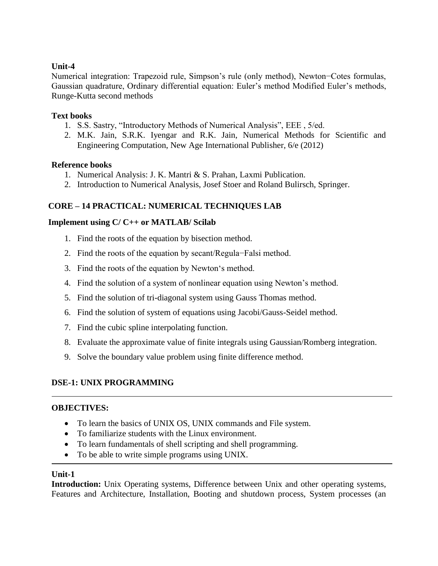Numerical integration: Trapezoid rule, Simpson's rule (only method), Newton−Cotes formulas, Gaussian quadrature, Ordinary differential equation: Euler's method Modified Euler's methods, Runge-Kutta second methods

#### **Text books**

- 1. S.S. Sastry, "Introductory Methods of Numerical Analysis", EEE , 5/ed.
- 2. M.K. Jain, S.R.K. Iyengar and R.K. Jain, Numerical Methods for Scientific and Engineering Computation, New Age International Publisher, 6/e (2012)

#### **Reference books**

- 1. Numerical Analysis: J. K. Mantri & S. Prahan, Laxmi Publication.
- 2. Introduction to Numerical Analysis, Josef Stoer and Roland Bulirsch, Springer.

#### **CORE – 14 PRACTICAL: NUMERICAL TECHNIQUES LAB**

#### **Implement using C/ C++ or MATLAB/ Scilab**

- 1. Find the roots of the equation by bisection method.
- 2. Find the roots of the equation by secant/Regula−Falsi method.
- 3. Find the roots of the equation by Newton's method.
- 4. Find the solution of a system of nonlinear equation using Newton's method.
- 5. Find the solution of tri-diagonal system using Gauss Thomas method.
- 6. Find the solution of system of equations using Jacobi/Gauss-Seidel method.
- 7. Find the cubic spline interpolating function.
- 8. Evaluate the approximate value of finite integrals using Gaussian/Romberg integration.
- 9. Solve the boundary value problem using finite difference method.

#### **DSE-1: UNIX PROGRAMMING**

#### **OBJECTIVES:**

- To learn the basics of UNIX OS, UNIX commands and File system.
- To familiarize students with the Linux environment.
- To learn fundamentals of shell scripting and shell programming.
- To be able to write simple programs using UNIX.

#### **Unit-1**

**Introduction:** Unix Operating systems, Difference between Unix and other operating systems, Features and Architecture, Installation, Booting and shutdown process, System processes (an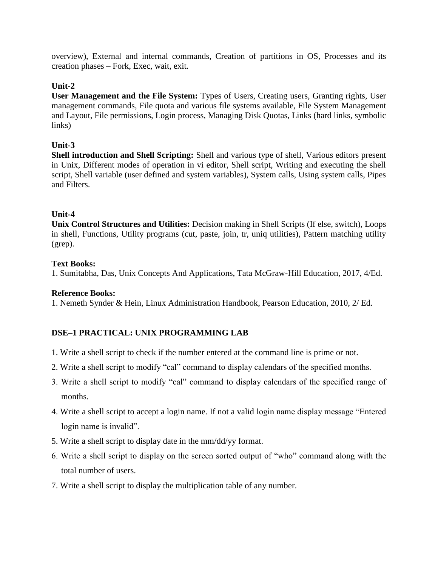overview), External and internal commands, Creation of partitions in OS, Processes and its creation phases – Fork, Exec, wait, exit.

#### **Unit-2**

**User Management and the File System:** Types of Users, Creating users, Granting rights, User management commands, File quota and various file systems available, File System Management and Layout, File permissions, Login process, Managing Disk Quotas, Links (hard links, symbolic links)

#### **Unit-3**

**Shell introduction and Shell Scripting:** Shell and various type of shell, Various editors present in Unix, Different modes of operation in vi editor, Shell script, Writing and executing the shell script, Shell variable (user defined and system variables), System calls, Using system calls, Pipes and Filters.

#### **Unit-4**

**Unix Control Structures and Utilities:** Decision making in Shell Scripts (If else, switch), Loops in shell, Functions, Utility programs (cut, paste, join, tr, uniq utilities), Pattern matching utility (grep).

#### **Text Books:**

1. Sumitabha, Das, Unix Concepts And Applications, Tata McGraw-Hill Education, 2017, 4/Ed.

#### **Reference Books:**

1. Nemeth Synder & Hein, Linux Administration Handbook, Pearson Education, 2010, 2/ Ed.

# **DSE–1 PRACTICAL: UNIX PROGRAMMING LAB**

- 1. Write a shell script to check if the number entered at the command line is prime or not.
- 2. Write a shell script to modify "cal" command to display calendars of the specified months.
- 3. Write a shell script to modify "cal" command to display calendars of the specified range of months.
- 4. Write a shell script to accept a login name. If not a valid login name display message "Entered login name is invalid".
- 5. Write a shell script to display date in the mm/dd/yy format.
- 6. Write a shell script to display on the screen sorted output of "who" command along with the total number of users.
- 7. Write a shell script to display the multiplication table of any number.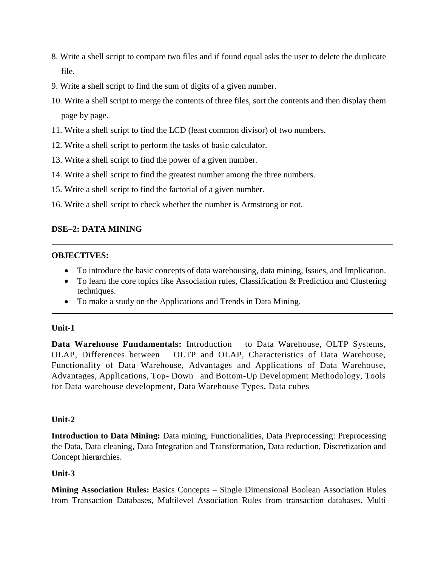- 8. Write a shell script to compare two files and if found equal asks the user to delete the duplicate file.
- 9. Write a shell script to find the sum of digits of a given number.
- 10. Write a shell script to merge the contents of three files, sort the contents and then display them page by page.
- 11. Write a shell script to find the LCD (least common divisor) of two numbers.
- 12. Write a shell script to perform the tasks of basic calculator.
- 13. Write a shell script to find the power of a given number.
- 14. Write a shell script to find the greatest number among the three numbers.
- 15. Write a shell script to find the factorial of a given number.
- 16. Write a shell script to check whether the number is Armstrong or not.

#### **DSE–2: DATA MINING**

#### **OBJECTIVES:**

- To introduce the basic concepts of data warehousing, data mining, Issues, and Implication.
- To learn the core topics like Association rules, Classification & Prediction and Clustering techniques.
- To make a study on the Applications and Trends in Data Mining.

#### **Unit-1**

**Data Warehouse Fundamentals:** Introduction to Data Warehouse, OLTP Systems, OLAP, Differences between OLTP and OLAP, Characteristics of Data Warehouse, Functionality of Data Warehouse, Advantages and Applications of Data Warehouse, Advantages, Applications, Top- Down and Bottom-Up Development Methodology, Tools for Data warehouse development, Data Warehouse Types, Data cubes

#### **Unit-2**

**Introduction to Data Mining:** Data mining, Functionalities, Data Preprocessing: Preprocessing the Data, Data cleaning, Data Integration and Transformation, Data reduction, Discretization and Concept hierarchies.

#### **Unit-3**

**Mining Association Rules:** Basics Concepts – Single Dimensional Boolean Association Rules from Transaction Databases, Multilevel Association Rules from transaction databases, Multi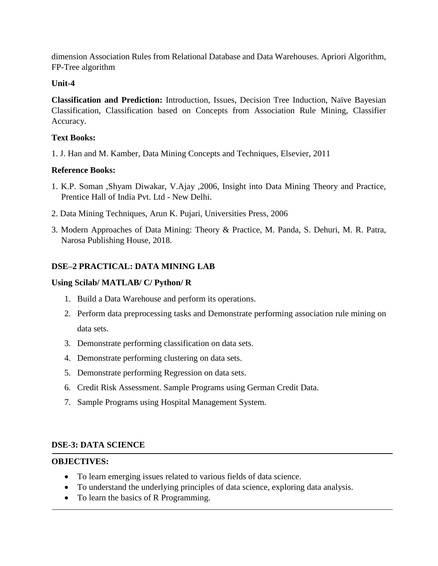dimension Association Rules from Relational Database and Data Warehouses. Apriori Algorithm, FP-Tree algorithm

#### **Unit-4**

**Classification and Prediction:** Introduction, Issues, Decision Tree Induction, Naïve Bayesian Classification, Classification based on Concepts from Association Rule Mining, Classifier Accuracy.

#### **Text Books:**

1. J. Han and M. Kamber, Data Mining Concepts and Techniques, Elsevier, 2011

#### **Reference Books:**

- 1. K.P. Soman ,Shyam Diwakar, V.Ajay ,2006, Insight into Data Mining Theory and Practice, Prentice Hall of India Pvt. Ltd - New Delhi.
- 2. Data Mining Techniques, Arun K. Pujari, Universities Press, 2006
- 3. Modern Approaches of Data Mining: Theory & Practice, M. Panda, S. Dehuri, M. R. Patra, Narosa Publishing House, 2018.

#### **DSE–2 PRACTICAL: DATA MINING LAB**

#### **Using Scilab/ MATLAB/ C/ Python/ R**

- 1. Build a Data Warehouse and perform its operations.
- 2. Perform data preprocessing tasks and Demonstrate performing association rule mining on data sets.
- 3. Demonstrate performing classification on data sets.
- 4. Demonstrate performing clustering on data sets.
- 5. Demonstrate performing Regression on data sets.
- 6. Credit Risk Assessment. Sample Programs using German Credit Data.
- 7. Sample Programs using Hospital Management System.

#### **DSE-3: DATA SCIENCE**

#### **OBJECTIVES:**

- To learn emerging issues related to various fields of data science.
- To understand the underlying principles of data science, exploring data analysis.
- To learn the basics of R Programming.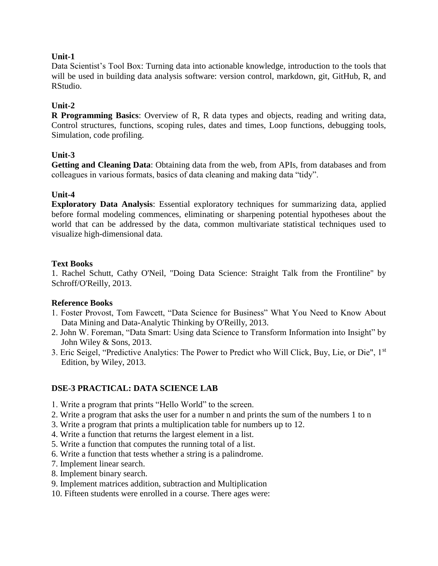Data Scientist's Tool Box: Turning data into actionable knowledge, introduction to the tools that will be used in building data analysis software: version control, markdown, git, GitHub, R, and RStudio.

#### **Unit-2**

**R Programming Basics**: Overview of R, R data types and objects, reading and writing data, Control structures, functions, scoping rules, dates and times, Loop functions, debugging tools, Simulation, code profiling.

#### **Unit-3**

**Getting and Cleaning Data**: Obtaining data from the web, from APIs, from databases and from colleagues in various formats, basics of data cleaning and making data "tidy".

#### **Unit-4**

**Exploratory Data Analysis**: Essential exploratory techniques for summarizing data, applied before formal modeling commences, eliminating or sharpening potential hypotheses about the world that can be addressed by the data, common multivariate statistical techniques used to visualize high-dimensional data.

#### **Text Books**

1. Rachel Schutt, Cathy O'Neil, "Doing Data Science: Straight Talk from the Frontiline" by Schroff/O'Reilly, 2013.

#### **Reference Books**

- 1. Foster Provost, Tom Fawcett, "Data Science for Business" What You Need to Know About Data Mining and Data-Analytic Thinking by O'Reilly, 2013.
- 2. John W. Foreman, "Data Smart: Using data Science to Transform Information into Insight" by John Wiley & Sons, 2013.
- 3. Eric Seigel, "Predictive Analytics: The Power to Predict who Will Click, Buy, Lie, or Die", 1st Edition, by Wiley, 2013.

#### **DSE-3 PRACTICAL: DATA SCIENCE LAB**

- 1. Write a program that prints "Hello World" to the screen.
- 2. Write a program that asks the user for a number n and prints the sum of the numbers 1 to n
- 3. Write a program that prints a multiplication table for numbers up to 12.
- 4. Write a function that returns the largest element in a list.
- 5. Write a function that computes the running total of a list.
- 6. Write a function that tests whether a string is a palindrome.
- 7. Implement linear search.
- 8. Implement binary search.
- 9. Implement matrices addition, subtraction and Multiplication
- 10. Fifteen students were enrolled in a course. There ages were: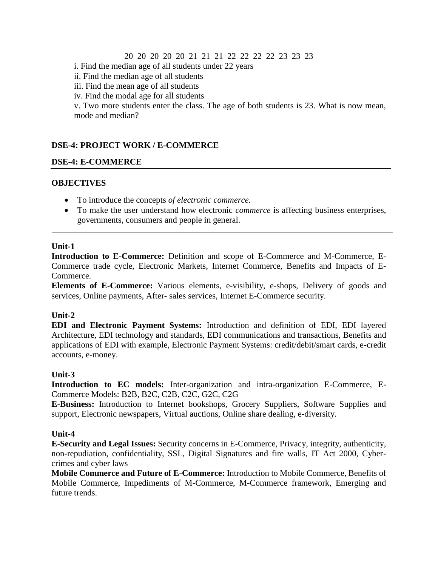#### 20 20 20 20 20 21 21 21 22 22 22 22 23 23 23

i. Find the median age of all students under 22 years

ii. Find the median age of all students

iii. Find the mean age of all students

iv. Find the modal age for all students

v. Two more students enter the class. The age of both students is 23. What is now mean, mode and median?

#### **DSE-4: PROJECT WORK / E-COMMERCE**

#### **DSE-4: E-COMMERCE**

#### **OBJECTIVES**

- To introduce the concepts *of electronic commerce.*
- To make the user understand how electronic *commerce* is affecting business enterprises, governments, consumers and people in general.

#### **Unit-1**

**Introduction to E-Commerce:** Definition and scope of E-Commerce and M-Commerce, E-Commerce trade cycle, Electronic Markets, Internet Commerce, Benefits and Impacts of E-Commerce.

**Elements of E-Commerce:** Various elements, e-visibility, e-shops, Delivery of goods and services, Online payments, After- sales services, Internet E-Commerce security.

#### **Unit-2**

**EDI and Electronic Payment Systems:** Introduction and definition of EDI, EDI layered Architecture, EDI technology and standards, EDI communications and transactions, Benefits and applications of EDI with example, Electronic Payment Systems: credit/debit/smart cards, e-credit accounts, e-money.

#### **Unit-3**

**Introduction to EC models:** Inter-organization and intra-organization E-Commerce, E-Commerce Models: B2B, B2C, C2B, C2C, G2C, C2G

**E-Business:** Introduction to Internet bookshops, Grocery Suppliers, Software Supplies and support, Electronic newspapers, Virtual auctions, Online share dealing, e-diversity.

#### **Unit-4**

**E-Security and Legal Issues:** Security concerns in E-Commerce, Privacy, integrity, authenticity, non-repudiation, confidentiality, SSL, Digital Signatures and fire walls, IT Act 2000, Cybercrimes and cyber laws

**Mobile Commerce and Future of E-Commerce:** Introduction to Mobile Commerce, Benefits of Mobile Commerce, Impediments of M-Commerce, M-Commerce framework, Emerging and future trends.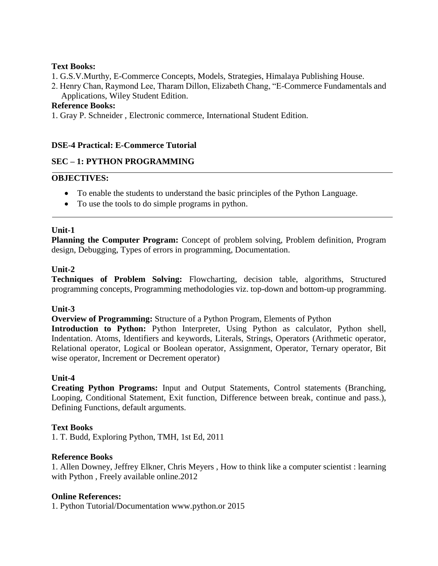#### **Text Books:**

- 1. G.S.V.Murthy, E-Commerce Concepts, Models, Strategies, Himalaya Publishing House.
- 2. Henry Chan, Raymond Lee, Tharam Dillon, Elizabeth Chang, "E-Commerce Fundamentals and Applications, Wiley Student Edition.

#### **Reference Books:**

1. Gray P. Schneider , Electronic commerce, International Student Edition.

#### **DSE-4 Practical: E-Commerce Tutorial**

#### **SEC – 1: PYTHON PROGRAMMING**

#### **OBJECTIVES:**

- To enable the students to understand the basic principles of the Python Language.
- To use the tools to do simple programs in python.

#### **Unit-1**

**Planning the Computer Program:** Concept of problem solving, Problem definition, Program design, Debugging, Types of errors in programming, Documentation.

#### **Unit-2**

**Techniques of Problem Solving:** Flowcharting, decision table, algorithms, Structured programming concepts, Programming methodologies viz. top-down and bottom-up programming.

#### **Unit-3**

**Overview of Programming:** Structure of a Python Program, Elements of Python

**Introduction to Python:** Python Interpreter, Using Python as calculator, Python shell, Indentation. Atoms, Identifiers and keywords, Literals, Strings, Operators (Arithmetic operator, Relational operator, Logical or Boolean operator, Assignment, Operator, Ternary operator, Bit wise operator, Increment or Decrement operator)

#### **Unit-4**

**Creating Python Programs:** Input and Output Statements, Control statements (Branching, Looping, Conditional Statement, Exit function, Difference between break, continue and pass.), Defining Functions, default arguments.

#### **Text Books**

1. T. Budd, Exploring Python, TMH, 1st Ed, 2011

#### **Reference Books**

1. Allen Downey, Jeffrey Elkner, Chris Meyers , How to think like a computer scientist : learning with Python , Freely available online.2012

#### **Online References:**

1. Python Tutorial/Documentation www.python.or 2015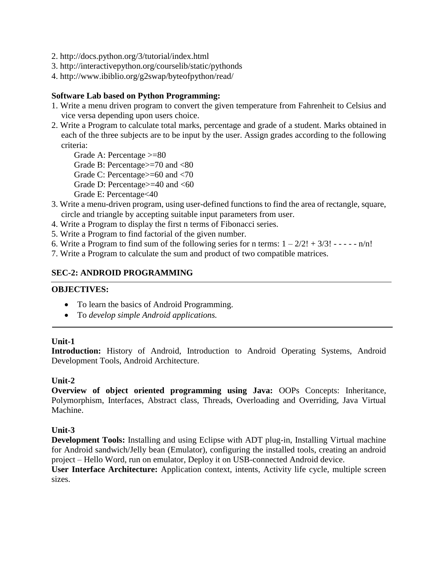- 2. http://docs.python.org/3/tutorial/index.html
- 3. http://interactivepython.org/courselib/static/pythonds
- 4. http://www.ibiblio.org/g2swap/byteofpython/read/

#### **Software Lab based on Python Programming:**

- 1. Write a menu driven program to convert the given temperature from Fahrenheit to Celsius and vice versa depending upon users choice.
- 2. Write a Program to calculate total marks, percentage and grade of a student. Marks obtained in each of the three subjects are to be input by the user. Assign grades according to the following criteria:

Grade A: Percentage >=80

Grade B: Percentage>=70 and <80

Grade C: Percentage>=60 and <70

Grade D: Percentage>=40 and <60

Grade E: Percentage<40

- 3. Write a menu-driven program, using user-defined functions to find the area of rectangle, square, circle and triangle by accepting suitable input parameters from user.
- 4. Write a Program to display the first n terms of Fibonacci series.
- 5. Write a Program to find factorial of the given number.
- 6. Write a Program to find sum of the following series for n terms:  $1 2/2! + 3/3! - - n/n!$
- 7. Write a Program to calculate the sum and product of two compatible matrices.

#### **SEC-2: ANDROID PROGRAMMING**

#### **OBJECTIVES:**

- To learn the basics of Android Programming.
- To *develop simple Android applications.*

#### **Unit-1**

**Introduction:** History of Android, Introduction to Android Operating Systems, Android Development Tools, Android Architecture.

#### **Unit-2**

**Overview of object oriented programming using Java:** OOPs Concepts: Inheritance, Polymorphism, Interfaces, Abstract class, Threads, Overloading and Overriding, Java Virtual Machine.

#### **Unit-3**

**Development Tools:** Installing and using Eclipse with ADT plug-in, Installing Virtual machine for Android sandwich/Jelly bean (Emulator), configuring the installed tools, creating an android project – Hello Word, run on emulator, Deploy it on USB-connected Android device.

**User Interface Architecture:** Application context, intents, Activity life cycle, multiple screen sizes.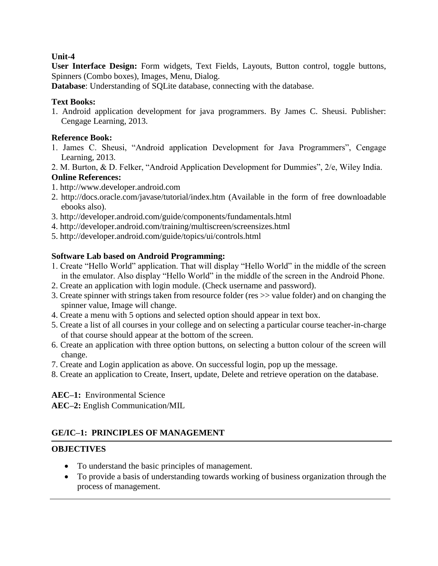**User Interface Design:** Form widgets, Text Fields, Layouts, Button control, toggle buttons, Spinners (Combo boxes), Images, Menu, Dialog.

**Database**: Understanding of SQLite database, connecting with the database.

#### **Text Books:**

1. Android application development for java programmers. By James C. Sheusi. Publisher: Cengage Learning, 2013.

#### **Reference Book:**

- 1. James C. Sheusi, "Android application Development for Java Programmers", Cengage Learning, 2013.
- 2. M. Burton, & D. Felker, "Android Application Development for Dummies", 2/e, Wiley India.

#### **Online References:**

- 1. http://www.developer.android.com
- 2. http://docs.oracle.com/javase/tutorial/index.htm (Available in the form of free downloadable ebooks also).
- 3. http://developer.android.com/guide/components/fundamentals.html
- 4. http://developer.android.com/training/multiscreen/screensizes.html
- 5. http://developer.android.com/guide/topics/ui/controls.html

### **Software Lab based on Android Programming:**

- 1. Create "Hello World" application. That will display "Hello World" in the middle of the screen in the emulator. Also display "Hello World" in the middle of the screen in the Android Phone.
- 2. Create an application with login module. (Check username and password).
- 3. Create spinner with strings taken from resource folder (res >> value folder) and on changing the spinner value, Image will change.
- 4. Create a menu with 5 options and selected option should appear in text box.
- 5. Create a list of all courses in your college and on selecting a particular course teacher-in-charge of that course should appear at the bottom of the screen.
- 6. Create an application with three option buttons, on selecting a button colour of the screen will change.
- 7. Create and Login application as above. On successful login, pop up the message.
- 8. Create an application to Create, Insert, update, Delete and retrieve operation on the database.

**AEC–1:** Environmental Science

**AEC–2:** English Communication/MIL

# **GE/IC–1: PRINCIPLES OF MANAGEMENT**

# **OBJECTIVES**

- To understand the basic principles of management.
- To provide a basis of understanding towards working of business organization through the process of management.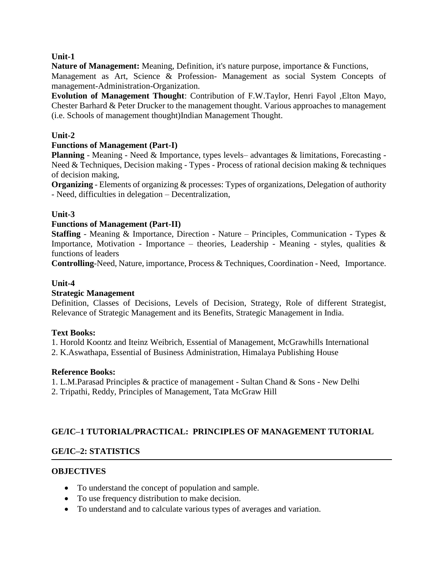**Nature of Management:** Meaning, Definition, it's nature purpose, importance & Functions, Management as Art, Science & Profession- Management as social System Concepts of management-Administration-Organization.

**Evolution of Management Thought**: Contribution of F.W.Taylor, Henri Fayol ,Elton Mayo, Chester Barhard & Peter Drucker to the management thought. Various approaches to management (i.e. Schools of management thought)Indian Management Thought.

#### **Unit-2**

#### **Functions of Management (Part-I)**

**Planning** - Meaning - Need & Importance, types levels– advantages & limitations, Forecasting - Need & Techniques, Decision making - Types - Process of rational decision making & techniques of decision making,

**Organizing** - Elements of organizing & processes: Types of organizations, Delegation of authority - Need, difficulties in delegation – Decentralization,

#### **Unit-3**

#### **Functions of Management (Part-II)**

**Staffing** - Meaning & Importance, Direction - Nature – Principles, Communication - Types & Importance, Motivation - Importance – theories, Leadership - Meaning - styles, qualities  $\&$ functions of leaders

**Controlling**-Need, Nature, importance, Process & Techniques, Coordination - Need, Importance.

#### **Unit-4**

#### **Strategic Management**

Definition, Classes of Decisions, Levels of Decision, Strategy, Role of different Strategist, Relevance of Strategic Management and its Benefits, Strategic Management in India.

#### **Text Books:**

1. Horold Koontz and Iteinz Weibrich, Essential of Management, McGrawhills International

2. K.Aswathapa, Essential of Business Administration, Himalaya Publishing House

#### **Reference Books:**

1. L.M.Parasad Principles & practice of management - Sultan Chand & Sons - New Delhi

2. Tripathi, Reddy, Principles of Management, Tata McGraw Hill

#### **GE/IC–1 TUTORIAL/PRACTICAL: PRINCIPLES OF MANAGEMENT TUTORIAL**

#### **GE/IC–2: STATISTICS**

#### **OBJECTIVES**

- To understand the concept of population and sample.
- To use frequency distribution to make decision.
- To understand and to calculate various types of averages and variation.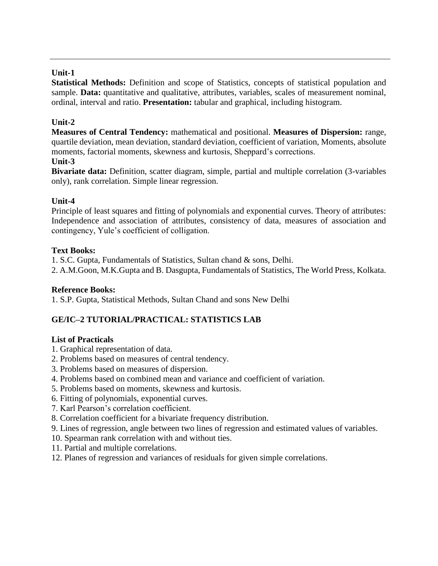**Statistical Methods:** Definition and scope of Statistics, concepts of statistical population and sample. **Data:** quantitative and qualitative, attributes, variables, scales of measurement nominal, ordinal, interval and ratio. **Presentation:** tabular and graphical, including histogram.

# **Unit-2**

**Measures of Central Tendency:** mathematical and positional. **Measures of Dispersion:** range, quartile deviation, mean deviation, standard deviation, coefficient of variation, Moments, absolute moments, factorial moments, skewness and kurtosis, Sheppard's corrections.

### **Unit-3**

**Bivariate data:** Definition, scatter diagram, simple, partial and multiple correlation (3-variables only), rank correlation. Simple linear regression.

### **Unit-4**

Principle of least squares and fitting of polynomials and exponential curves. Theory of attributes: Independence and association of attributes, consistency of data, measures of association and contingency, Yule's coefficient of colligation.

#### **Text Books:**

1. S.C. Gupta, Fundamentals of Statistics, Sultan chand & sons, Delhi.

2. A.M.Goon, M.K.Gupta and B. Dasgupta, Fundamentals of Statistics, The World Press, Kolkata.

#### **Reference Books:**

1. S.P. Gupta, Statistical Methods, Sultan Chand and sons New Delhi

# **GE/IC–2 TUTORIAL/PRACTICAL: STATISTICS LAB**

#### **List of Practicals**

- 1. Graphical representation of data.
- 2. Problems based on measures of central tendency.
- 3. Problems based on measures of dispersion.
- 4. Problems based on combined mean and variance and coefficient of variation.
- 5. Problems based on moments, skewness and kurtosis.
- 6. Fitting of polynomials, exponential curves.
- 7. Karl Pearson's correlation coefficient.
- 8. Correlation coefficient for a bivariate frequency distribution.
- 9. Lines of regression, angle between two lines of regression and estimated values of variables.
- 10. Spearman rank correlation with and without ties.
- 11. Partial and multiple correlations.
- 12. Planes of regression and variances of residuals for given simple correlations.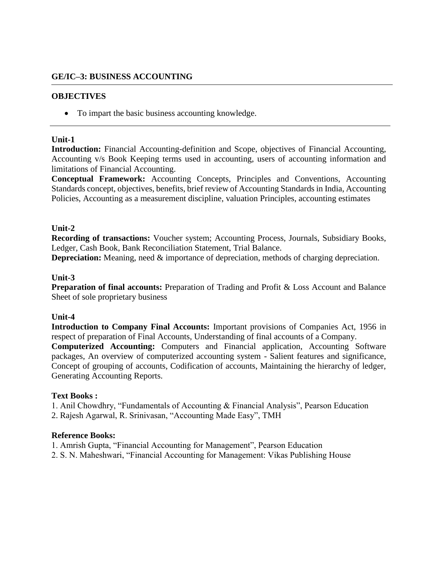#### **GE/IC–3: BUSINESS ACCOUNTING**

#### **OBJECTIVES**

• To impart the basic business accounting knowledge.

#### **Unit-1**

**Introduction:** Financial Accounting-definition and Scope, objectives of Financial Accounting, Accounting v/s Book Keeping terms used in accounting, users of accounting information and limitations of Financial Accounting.

**Conceptual Framework:** Accounting Concepts, Principles and Conventions, Accounting Standards concept, objectives, benefits, brief review of Accounting Standards in India, Accounting Policies, Accounting as a measurement discipline, valuation Principles, accounting estimates

#### **Unit-2**

**Recording of transactions:** Voucher system; Accounting Process, Journals, Subsidiary Books, Ledger, Cash Book, Bank Reconciliation Statement, Trial Balance.

**Depreciation:** Meaning, need & importance of depreciation, methods of charging depreciation.

#### **Unit-3**

**Preparation of final accounts:** Preparation of Trading and Profit & Loss Account and Balance Sheet of sole proprietary business

#### **Unit-4**

**Introduction to Company Final Accounts:** Important provisions of Companies Act, 1956 in respect of preparation of Final Accounts, Understanding of final accounts of a Company.

**Computerized Accounting:** Computers and Financial application, Accounting Software packages, An overview of computerized accounting system - Salient features and significance, Concept of grouping of accounts, Codification of accounts, Maintaining the hierarchy of ledger, Generating Accounting Reports.

#### **Text Books :**

1. Anil Chowdhry, "Fundamentals of Accounting & Financial Analysis", Pearson Education

2. Rajesh Agarwal, R. Srinivasan, "Accounting Made Easy", TMH

#### **Reference Books:**

1. Amrish Gupta, "Financial Accounting for Management", Pearson Education

2. S. N. Maheshwari, "Financial Accounting for Management: Vikas Publishing House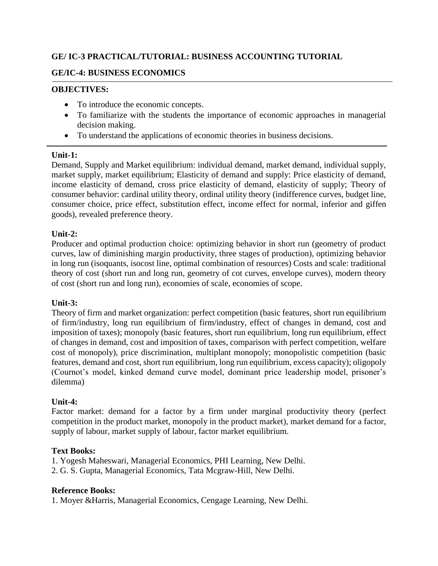# **GE/ IC-3 PRACTICAL/TUTORIAL: BUSINESS ACCOUNTING TUTORIAL**

#### **GE/IC-4: BUSINESS ECONOMICS**

#### **OBJECTIVES:**

- To introduce the economic concepts.
- To familiarize with the students the importance of economic approaches in managerial decision making.
- To understand the applications of economic theories in business decisions.

#### **Unit-1:**

Demand, Supply and Market equilibrium: individual demand, market demand, individual supply, market supply, market equilibrium; Elasticity of demand and supply: Price elasticity of demand, income elasticity of demand, cross price elasticity of demand, elasticity of supply; Theory of consumer behavior: cardinal utility theory, ordinal utility theory (indifference curves, budget line, consumer choice, price effect, substitution effect, income effect for normal, inferior and giffen goods), revealed preference theory.

#### **Unit-2:**

Producer and optimal production choice: optimizing behavior in short run (geometry of product curves, law of diminishing margin productivity, three stages of production), optimizing behavior in long run (isoquants, isocost line, optimal combination of resources) Costs and scale: traditional theory of cost (short run and long run, geometry of cot curves, envelope curves), modern theory of cost (short run and long run), economies of scale, economies of scope.

#### **Unit-3:**

Theory of firm and market organization: perfect competition (basic features, short run equilibrium of firm/industry, long run equilibrium of firm/industry, effect of changes in demand, cost and imposition of taxes); monopoly (basic features, short run equilibrium, long run equilibrium, effect of changes in demand, cost and imposition of taxes, comparison with perfect competition, welfare cost of monopoly), price discrimination, multiplant monopoly; monopolistic competition (basic features, demand and cost, short run equilibrium, long run equilibrium, excess capacity); oligopoly (Cournot's model, kinked demand curve model, dominant price leadership model, prisoner's dilemma)

#### **Unit-4:**

Factor market: demand for a factor by a firm under marginal productivity theory (perfect competition in the product market, monopoly in the product market), market demand for a factor, supply of labour, market supply of labour, factor market equilibrium.

#### **Text Books:**

1. Yogesh Maheswari, Managerial Economics, PHI Learning, New Delhi.

2. G. S. Gupta, Managerial Economics, Tata Mcgraw-Hill, New Delhi.

#### **Reference Books:**

1. Moyer &Harris, Managerial Economics, Cengage Learning, New Delhi.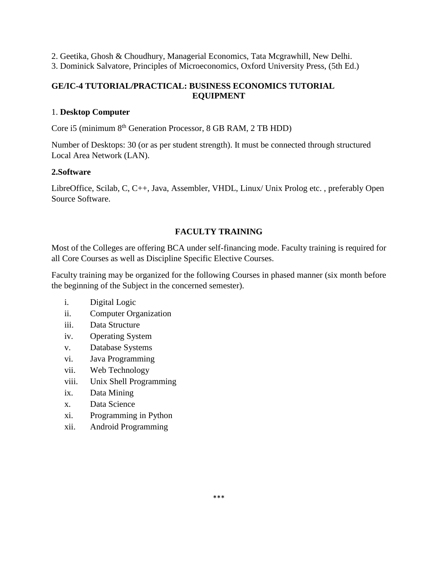2. Geetika, Ghosh & Choudhury, Managerial Economics, Tata Mcgrawhill, New Delhi.

3. Dominick Salvatore, Principles of Microeconomics, Oxford University Press, (5th Ed.)

#### **GE/IC-4 TUTORIAL/PRACTICAL: BUSINESS ECONOMICS TUTORIAL EQUIPMENT**

#### 1. **Desktop Computer**

Core i5 (minimum 8<sup>th</sup> Generation Processor, 8 GB RAM, 2 TB HDD)

Number of Desktops: 30 (or as per student strength). It must be connected through structured Local Area Network (LAN).

#### **2.Software**

LibreOffice, Scilab, C, C++, Java, Assembler, VHDL, Linux/ Unix Prolog etc. , preferably Open Source Software.

# **FACULTY TRAINING**

Most of the Colleges are offering BCA under self-financing mode. Faculty training is required for all Core Courses as well as Discipline Specific Elective Courses.

Faculty training may be organized for the following Courses in phased manner (six month before the beginning of the Subject in the concerned semester).

- i. Digital Logic
- ii. Computer Organization
- iii. Data Structure
- iv. Operating System
- v. Database Systems
- vi. Java Programming
- vii. Web Technology
- viii. Unix Shell Programming
- ix. Data Mining
- x. Data Science
- xi. Programming in Python
- xii. Android Programming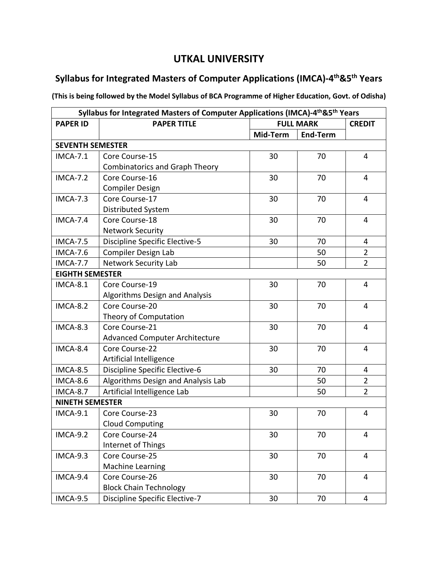# **UTKAL UNIVERSITY**

# **Syllabus for Integrated Masters of Computer Applications (IMCA)-4 th&5th Years**

**(This is being followed by the Model Syllabus of BCA Programme of Higher Education, Govt. of Odisha)**

| Syllabus for Integrated Masters of Computer Applications (IMCA)-4 <sup>th</sup> &5 <sup>th</sup> Years |                                       |          |                  |                |
|--------------------------------------------------------------------------------------------------------|---------------------------------------|----------|------------------|----------------|
| <b>PAPER ID</b>                                                                                        | <b>PAPER TITLE</b>                    |          | <b>FULL MARK</b> |                |
|                                                                                                        |                                       | Mid-Term | <b>End-Term</b>  |                |
| <b>SEVENTH SEMESTER</b>                                                                                |                                       |          |                  |                |
| <b>IMCA-7.1</b>                                                                                        | Core Course-15                        | 30       | 70               | 4              |
|                                                                                                        | <b>Combinatorics and Graph Theory</b> |          |                  |                |
| <b>IMCA-7.2</b>                                                                                        | Core Course-16                        | 30       | 70               | 4              |
|                                                                                                        | <b>Compiler Design</b>                |          |                  |                |
| <b>IMCA-7.3</b>                                                                                        | Core Course-17                        | 30       | 70               | 4              |
|                                                                                                        | Distributed System                    |          |                  |                |
| <b>IMCA-7.4</b>                                                                                        | Core Course-18                        | 30       | 70               | $\overline{4}$ |
|                                                                                                        | <b>Network Security</b>               |          |                  |                |
| <b>IMCA-7.5</b>                                                                                        | <b>Discipline Specific Elective-5</b> | 30       | 70               | 4              |
| <b>IMCA-7.6</b>                                                                                        | Compiler Design Lab                   |          | 50               | $\overline{2}$ |
| <b>IMCA-7.7</b>                                                                                        | Network Security Lab                  |          | 50               | $\overline{2}$ |
| <b>EIGHTH SEMESTER</b>                                                                                 |                                       |          |                  |                |
| <b>IMCA-8.1</b>                                                                                        | Core Course-19                        | 30       | 70               | $\overline{4}$ |
|                                                                                                        | Algorithms Design and Analysis        |          |                  |                |
| <b>IMCA-8.2</b>                                                                                        | Core Course-20                        | 30       | 70               | 4              |
|                                                                                                        | Theory of Computation                 |          |                  |                |
| IMCA-8.3                                                                                               | Core Course-21                        | 30       | 70               | 4              |
|                                                                                                        | <b>Advanced Computer Architecture</b> |          |                  |                |
| IMCA-8.4                                                                                               | Core Course-22                        | 30       | 70               | 4              |
|                                                                                                        | Artificial Intelligence               |          |                  |                |
| <b>IMCA-8.5</b>                                                                                        | Discipline Specific Elective-6        | 30       | 70               | 4              |
| <b>IMCA-8.6</b>                                                                                        | Algorithms Design and Analysis Lab    |          | 50               | $\overline{2}$ |
| <b>IMCA-8.7</b>                                                                                        | Artificial Intelligence Lab           |          | 50               | $\overline{2}$ |
| <b>NINETH SEMESTER</b>                                                                                 |                                       |          |                  |                |
| <b>IMCA-9.1</b>                                                                                        | Core Course-23                        | 30       | 70               | $\overline{4}$ |
|                                                                                                        | <b>Cloud Computing</b>                |          |                  |                |
| <b>IMCA-9.2</b>                                                                                        | Core Course-24                        | 30       | 70               | 4              |
|                                                                                                        | Internet of Things                    |          |                  |                |
| <b>IMCA-9.3</b>                                                                                        | Core Course-25                        | 30       | 70               | 4              |
|                                                                                                        | <b>Machine Learning</b>               |          |                  |                |
| IMCA-9.4                                                                                               | Core Course-26                        | 30       | 70               | 4              |
|                                                                                                        | <b>Block Chain Technology</b>         |          |                  |                |
| <b>IMCA-9.5</b>                                                                                        | Discipline Specific Elective-7        | 30       | 70               | 4              |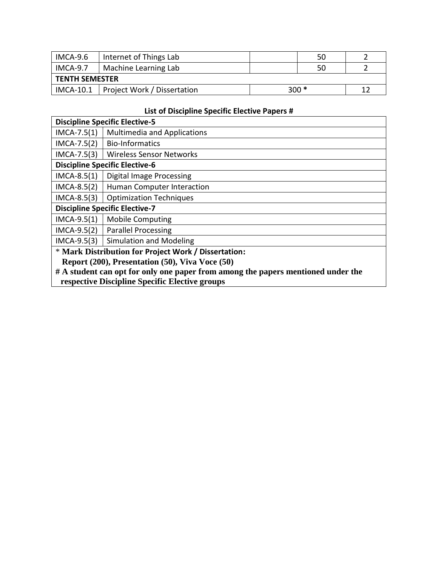| $IMCA-9.6$            | Internet of Things Lab                  |  | 50     |  |
|-----------------------|-----------------------------------------|--|--------|--|
| $IMCA-9.7$            | Machine Learning Lab                    |  | 50     |  |
| <b>TENTH SEMESTER</b> |                                         |  |        |  |
|                       | IMCA-10.1   Project Work / Dissertation |  | $300*$ |  |

# **List of Discipline Specific Elective Papers #**

| <b>Discipline Specific Elective-5</b>                                            |                                       |  |
|----------------------------------------------------------------------------------|---------------------------------------|--|
| $IMCA-7.5(1)$                                                                    | <b>Multimedia and Applications</b>    |  |
| $IMCA-7.5(2)$                                                                    | <b>Bio-Informatics</b>                |  |
| $IMCA-7.5(3)$                                                                    | Wireless Sensor Networks              |  |
|                                                                                  | <b>Discipline Specific Elective-6</b> |  |
| $IMCA-8.5(1)$                                                                    | Digital Image Processing              |  |
| $IMCA-8.5(2)$                                                                    | Human Computer Interaction            |  |
| $IMCA-8.5(3)$                                                                    | <b>Optimization Techniques</b>        |  |
| <b>Discipline Specific Elective-7</b>                                            |                                       |  |
| $IMCA-9.5(1)$                                                                    | <b>Mobile Computing</b>               |  |
| $IMCA-9.5(2)$                                                                    | <b>Parallel Processing</b>            |  |
| $IMCA-9.5(3)$                                                                    | <b>Simulation and Modeling</b>        |  |
| * Mark Distribution for Project Work / Dissertation:                             |                                       |  |
| Report (200), Presentation (50), Viva Voce (50)                                  |                                       |  |
| # A student can opt for only one paper from among the papers mentioned under the |                                       |  |
| respective Discipline Specific Elective groups                                   |                                       |  |
|                                                                                  |                                       |  |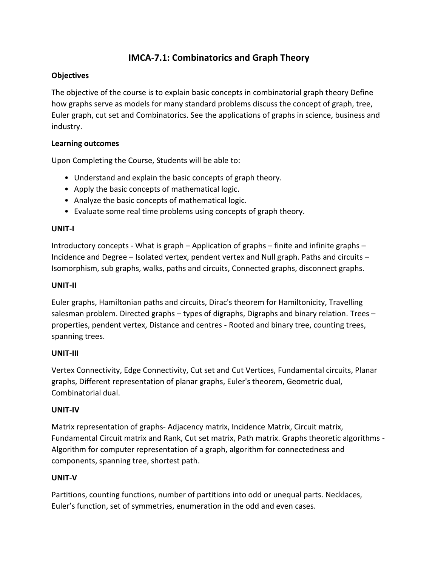# **IMCA-7.1: Combinatorics and Graph Theory**

#### **Objectives**

The objective of the course is to explain basic concepts in combinatorial graph theory Define how graphs serve as models for many standard problems discuss the concept of graph, tree, Euler graph, cut set and Combinatorics. See the applications of graphs in science, business and industry.

#### **Learning outcomes**

Upon Completing the Course, Students will be able to:

- Understand and explain the basic concepts of graph theory.
- Apply the basic concepts of mathematical logic.
- Analyze the basic concepts of mathematical logic.
- Evaluate some real time problems using concepts of graph theory.

#### **UNIT-I**

Introductory concepts - What is graph – Application of graphs – finite and infinite graphs – Incidence and Degree – Isolated vertex, pendent vertex and Null graph. Paths and circuits – Isomorphism, sub graphs, walks, paths and circuits, Connected graphs, disconnect graphs.

#### **UNIT-II**

Euler graphs, Hamiltonian paths and circuits, Dirac's theorem for Hamiltonicity, Travelling salesman problem. Directed graphs – types of digraphs, Digraphs and binary relation. Trees – properties, pendent vertex, Distance and centres - Rooted and binary tree, counting trees, spanning trees.

#### **UNIT-III**

Vertex Connectivity, Edge Connectivity, Cut set and Cut Vertices, Fundamental circuits, Planar graphs, Different representation of planar graphs, Euler's theorem, Geometric dual, Combinatorial dual.

#### **UNIT-IV**

Matrix representation of graphs- Adjacency matrix, Incidence Matrix, Circuit matrix, Fundamental Circuit matrix and Rank, Cut set matrix, Path matrix. Graphs theoretic algorithms - Algorithm for computer representation of a graph, algorithm for connectedness and components, spanning tree, shortest path.

#### **UNIT-V**

Partitions, counting functions, number of partitions into odd or unequal parts. Necklaces, Euler's function, set of symmetries, enumeration in the odd and even cases.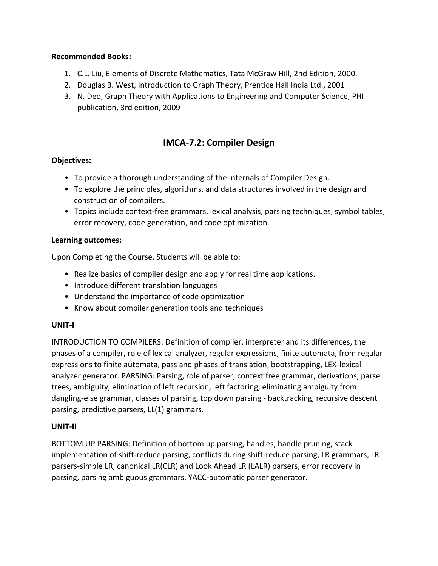#### **Recommended Books:**

- 1. C.L. Liu, Elements of Discrete Mathematics, Tata McGraw Hill, 2nd Edition, 2000.
- 2. Douglas B. West, Introduction to Graph Theory, Prentice Hall India Ltd., 2001
- 3. N. Deo, Graph Theory with Applications to Engineering and Computer Science, PHI publication, 3rd edition, 2009

# **IMCA-7.2: Compiler Design**

### **Objectives:**

- To provide a thorough understanding of the internals of Compiler Design.
- To explore the principles, algorithms, and data structures involved in the design and construction of compilers.
- Topics include context-free grammars, lexical analysis, parsing techniques, symbol tables, error recovery, code generation, and code optimization.

#### **Learning outcomes:**

Upon Completing the Course, Students will be able to:

- Realize basics of compiler design and apply for real time applications.
- Introduce different translation languages
- Understand the importance of code optimization
- Know about compiler generation tools and techniques

#### **UNIT-I**

INTRODUCTION TO COMPILERS: Definition of compiler, interpreter and its differences, the phases of a compiler, role of lexical analyzer, regular expressions, finite automata, from regular expressions to finite automata, pass and phases of translation, bootstrapping, LEX-lexical analyzer generator. PARSING: Parsing, role of parser, context free grammar, derivations, parse trees, ambiguity, elimination of left recursion, left factoring, eliminating ambiguity from dangling-else grammar, classes of parsing, top down parsing - backtracking, recursive descent parsing, predictive parsers, LL(1) grammars.

#### **UNIT-II**

BOTTOM UP PARSING: Definition of bottom up parsing, handles, handle pruning, stack implementation of shift-reduce parsing, conflicts during shift-reduce parsing, LR grammars, LR parsers-simple LR, canonical LR(CLR) and Look Ahead LR (LALR) parsers, error recovery in parsing, parsing ambiguous grammars, YACC-automatic parser generator.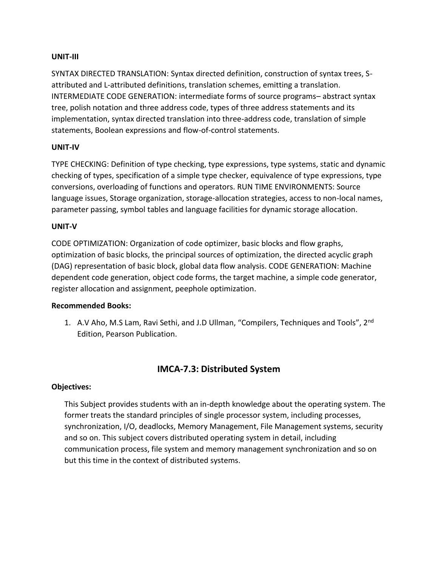#### **UNIT-III**

SYNTAX DIRECTED TRANSLATION: Syntax directed definition, construction of syntax trees, Sattributed and L-attributed definitions, translation schemes, emitting a translation. INTERMEDIATE CODE GENERATION: intermediate forms of source programs– abstract syntax tree, polish notation and three address code, types of three address statements and its implementation, syntax directed translation into three-address code, translation of simple statements, Boolean expressions and flow-of-control statements.

#### **UNIT-IV**

TYPE CHECKING: Definition of type checking, type expressions, type systems, static and dynamic checking of types, specification of a simple type checker, equivalence of type expressions, type conversions, overloading of functions and operators. RUN TIME ENVIRONMENTS: Source language issues, Storage organization, storage-allocation strategies, access to non-local names, parameter passing, symbol tables and language facilities for dynamic storage allocation.

#### **UNIT-V**

CODE OPTIMIZATION: Organization of code optimizer, basic blocks and flow graphs, optimization of basic blocks, the principal sources of optimization, the directed acyclic graph (DAG) representation of basic block, global data flow analysis. CODE GENERATION: Machine dependent code generation, object code forms, the target machine, a simple code generator, register allocation and assignment, peephole optimization.

#### **Recommended Books:**

1. A.V Aho, M.S Lam, Ravi Sethi, and J.D Ullman, "Compilers, Techniques and Tools", 2<sup>nd</sup> Edition, Pearson Publication.

# **IMCA-7.3: Distributed System**

#### **Objectives:**

This Subject provides students with an in-depth knowledge about the operating system. The former treats the standard principles of single processor system, including processes, synchronization, I/O, deadlocks, Memory Management, File Management systems, security and so on. This subject covers distributed operating system in detail, including communication process, file system and memory management synchronization and so on but this time in the context of distributed systems.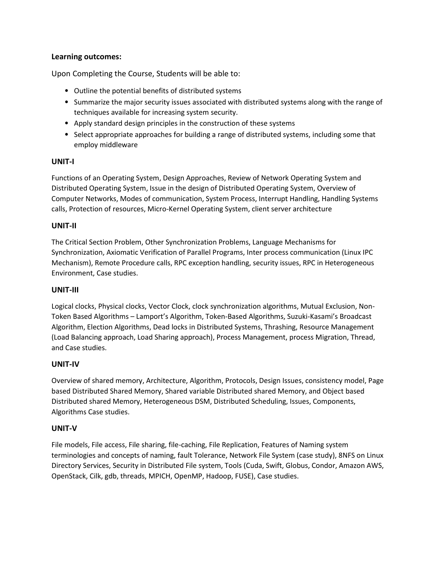#### **Learning outcomes:**

Upon Completing the Course, Students will be able to:

- Outline the potential benefits of distributed systems
- Summarize the major security issues associated with distributed systems along with the range of techniques available for increasing system security.
- Apply standard design principles in the construction of these systems
- Select appropriate approaches for building a range of distributed systems, including some that employ middleware

#### **UNIT-I**

Functions of an Operating System, Design Approaches, Review of Network Operating System and Distributed Operating System, Issue in the design of Distributed Operating System, Overview of Computer Networks, Modes of communication, System Process, Interrupt Handling, Handling Systems calls, Protection of resources, Micro-Kernel Operating System, client server architecture

#### **UNIT-II**

The Critical Section Problem, Other Synchronization Problems, Language Mechanisms for Synchronization, Axiomatic Verification of Parallel Programs, Inter process communication (Linux IPC Mechanism), Remote Procedure calls, RPC exception handling, security issues, RPC in Heterogeneous Environment, Case studies.

#### **UNIT-III**

Logical clocks, Physical clocks, Vector Clock, clock synchronization algorithms, Mutual Exclusion, Non-Token Based Algorithms – Lamport's Algorithm, Token-Based Algorithms, Suzuki-Kasami's Broadcast Algorithm, Election Algorithms, Dead locks in Distributed Systems, Thrashing, Resource Management (Load Balancing approach, Load Sharing approach), Process Management, process Migration, Thread, and Case studies.

#### **UNIT-IV**

Overview of shared memory, Architecture, Algorithm, Protocols, Design Issues, consistency model, Page based Distributed Shared Memory, Shared variable Distributed shared Memory, and Object based Distributed shared Memory, Heterogeneous DSM, Distributed Scheduling, Issues, Components, Algorithms Case studies.

#### **UNIT-V**

File models, File access, File sharing, file-caching, File Replication, Features of Naming system terminologies and concepts of naming, fault Tolerance, Network File System (case study), 8NFS on Linux Directory Services, Security in Distributed File system, Tools (Cuda, Swift, Globus, Condor, Amazon AWS, OpenStack, Cilk, gdb, threads, MPICH, OpenMP, Hadoop, FUSE), Case studies.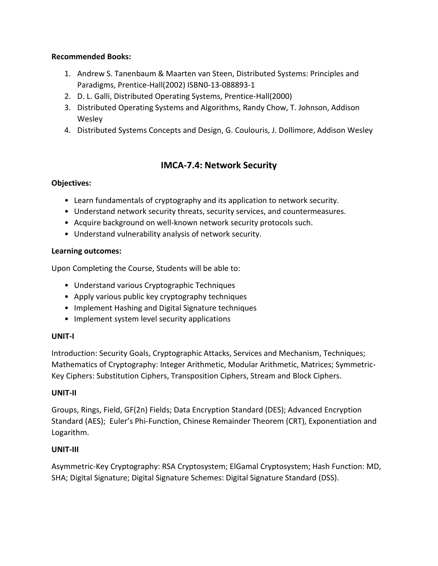#### **Recommended Books:**

- 1. Andrew S. Tanenbaum & Maarten van Steen, Distributed Systems: Principles and Paradigms, Prentice-Hall(2002) ISBN0-13-088893-1
- 2. D. L. Galli, Distributed Operating Systems, Prentice-Hall(2000)
- 3. Distributed Operating Systems and Algorithms, Randy Chow, T. Johnson, Addison **Wesley**
- 4. Distributed Systems Concepts and Design, G. Coulouris, J. Dollimore, Addison Wesley

# **IMCA-7.4: Network Security**

#### **Objectives:**

- Learn fundamentals of cryptography and its application to network security.
- Understand network security threats, security services, and countermeasures.
- Acquire background on well-known network security protocols such.
- Understand vulnerability analysis of network security.

#### **Learning outcomes:**

Upon Completing the Course, Students will be able to:

- Understand various Cryptographic Techniques
- Apply various public key cryptography techniques
- Implement Hashing and Digital Signature techniques
- Implement system level security applications

#### **UNIT-I**

Introduction: Security Goals, Cryptographic Attacks, Services and Mechanism, Techniques; Mathematics of Cryptography: Integer Arithmetic, Modular Arithmetic, Matrices; Symmetric-Key Ciphers: Substitution Ciphers, Transposition Ciphers, Stream and Block Ciphers.

#### **UNIT-II**

Groups, Rings, Field, GF(2n) Fields; Data Encryption Standard (DES); Advanced Encryption Standard (AES); Euler's Phi-Function, Chinese Remainder Theorem (CRT), Exponentiation and Logarithm.

#### **UNIT-III**

Asymmetric-Key Cryptography: RSA Cryptosystem; ElGamal Cryptosystem; Hash Function: MD, SHA; Digital Signature; Digital Signature Schemes: Digital Signature Standard (DSS).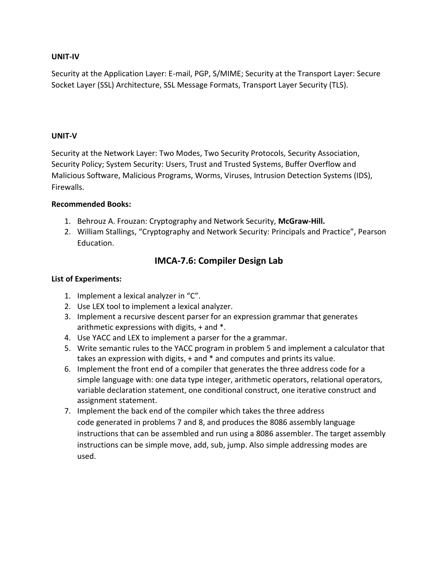#### **UNIT-IV**

Security at the Application Layer: E-mail, PGP, S/MIME; Security at the Transport Layer: Secure Socket Layer (SSL) Architecture, SSL Message Formats, Transport Layer Security (TLS).

#### **UNIT-V**

Security at the Network Layer: Two Modes, Two Security Protocols, Security Association, Security Policy; System Security: Users, Trust and Trusted Systems, Buffer Overflow and Malicious Software, Malicious Programs, Worms, Viruses, Intrusion Detection Systems (IDS), Firewalls.

#### **Recommended Books:**

- 1. Behrouz A. Frouzan: Cryptography and Network Security, **McGraw-Hill.**
- 2. William Stallings, "Cryptography and Network Security: Principals and Practice", Pearson Education.

# **IMCA-7.6: Compiler Design Lab**

#### **List of Experiments:**

- 1. Implement a lexical analyzer in "C".
- 2. Use LEX tool to implement a lexical analyzer.
- 3. Implement a recursive descent parser for an expression grammar that generates arithmetic expressions with digits, + and \*.
- 4. Use YACC and LEX to implement a parser for the a grammar.
- 5. Write semantic rules to the YACC program in problem 5 and implement a calculator that takes an expression with digits, + and \* and computes and prints its value.
- 6. Implement the front end of a compiler that generates the three address code for a simple language with: one data type integer, arithmetic operators, relational operators, variable declaration statement, one conditional construct, one iterative construct and assignment statement.
- 7. Implement the back end of the compiler which takes the three address code generated in problems 7 and 8, and produces the 8086 assembly language instructions that can be assembled and run using a 8086 assembler. The target assembly instructions can be simple move, add, sub, jump. Also simple addressing modes are used.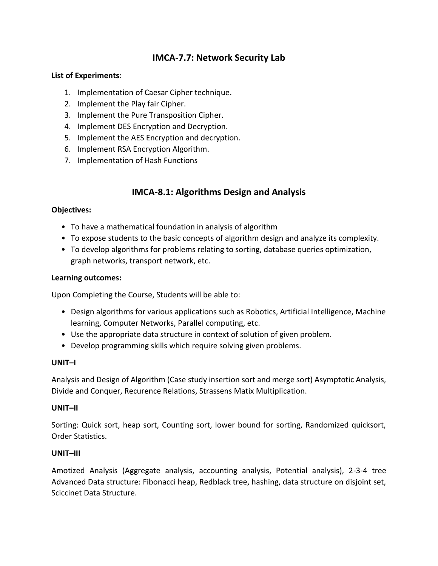# **IMCA-7.7: Network Security Lab**

#### **List of Experiments**:

- 1. Implementation of Caesar Cipher technique.
- 2. Implement the Play fair Cipher.
- 3. Implement the Pure Transposition Cipher.
- 4. Implement DES Encryption and Decryption.
- 5. Implement the AES Encryption and decryption.
- 6. Implement RSA Encryption Algorithm.
- 7. Implementation of Hash Functions

# **IMCA-8.1: Algorithms Design and Analysis**

#### **Objectives:**

- To have a mathematical foundation in analysis of algorithm
- To expose students to the basic concepts of algorithm design and analyze its complexity.
- To develop algorithms for problems relating to sorting, database queries optimization, graph networks, transport network, etc.

#### **Learning outcomes:**

Upon Completing the Course, Students will be able to:

- Design algorithms for various applications such as Robotics, Artificial Intelligence, Machine learning, Computer Networks, Parallel computing, etc.
- Use the appropriate data structure in context of solution of given problem.
- Develop programming skills which require solving given problems.

#### **UNIT–I**

Analysis and Design of Algorithm (Case study insertion sort and merge sort) Asymptotic Analysis, Divide and Conquer, Recurence Relations, Strassens Matix Multiplication.

#### **UNIT–II**

Sorting: Quick sort, heap sort, Counting sort, lower bound for sorting, Randomized quicksort, Order Statistics.

#### **UNIT–III**

Amotized Analysis (Aggregate analysis, accounting analysis, Potential analysis), 2-3-4 tree Advanced Data structure: Fibonacci heap, Redblack tree, hashing, data structure on disjoint set, Sciccinet Data Structure.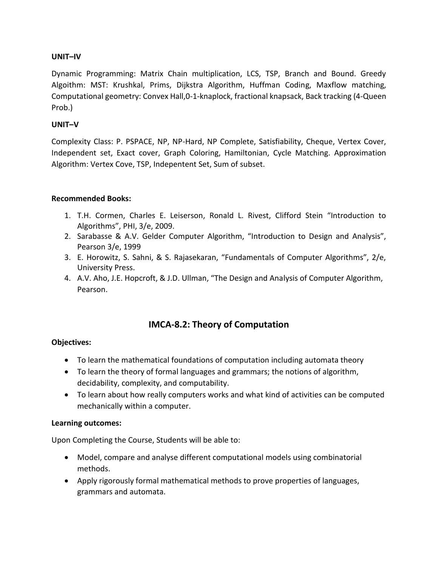#### **UNIT–IV**

Dynamic Programming: Matrix Chain multiplication, LCS, TSP, Branch and Bound. Greedy Algoithm: MST: Krushkal, Prims, Dijkstra Algorithm, Huffman Coding, Maxflow matching, Computational geometry: Convex Hall,0-1-knaplock, fractional knapsack, Back tracking (4-Queen Prob.)

#### **UNIT–V**

Complexity Class: P. PSPACE, NP, NP-Hard, NP Complete, Satisfiability, Cheque, Vertex Cover, Independent set, Exact cover, Graph Coloring, Hamiltonian, Cycle Matching. Approximation Algorithm: Vertex Cove, TSP, Indepentent Set, Sum of subset.

#### **Recommended Books:**

- 1. T.H. Cormen, Charles E. Leiserson, Ronald L. Rivest, Clifford Stein "Introduction to Algorithms", PHI, 3/e, 2009.
- 2. Sarabasse & A.V. Gelder Computer Algorithm, "Introduction to Design and Analysis", Pearson 3/e, 1999
- 3. E. Horowitz, S. Sahni, & S. Rajasekaran, "Fundamentals of Computer Algorithms", 2/e, University Press.
- 4. A.V. Aho, J.E. Hopcroft, & J.D. Ullman, "The Design and Analysis of Computer Algorithm, Pearson.

# **IMCA-8.2: Theory of Computation**

#### **Objectives:**

- To learn the mathematical foundations of computation including automata theory
- To learn the theory of formal languages and grammars; the notions of algorithm, decidability, complexity, and computability.
- To learn about how really computers works and what kind of activities can be computed mechanically within a computer.

#### **Learning outcomes:**

Upon Completing the Course, Students will be able to:

- Model, compare and analyse different computational models using combinatorial methods.
- Apply rigorously formal mathematical methods to prove properties of languages, grammars and automata.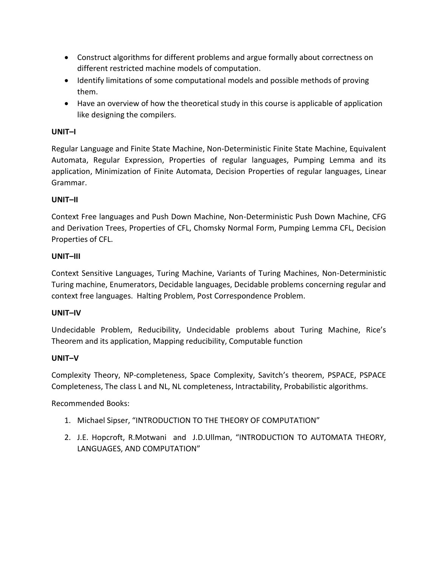- Construct algorithms for different problems and argue formally about correctness on different restricted machine models of computation.
- Identify limitations of some computational models and possible methods of proving them.
- Have an overview of how the theoretical study in this course is applicable of application like designing the compilers.

#### **UNIT–I**

Regular Language and Finite State Machine, Non-Deterministic Finite State Machine, Equivalent Automata, Regular Expression, Properties of regular languages, Pumping Lemma and its application, Minimization of Finite Automata, Decision Properties of regular languages, Linear Grammar.

### **UNIT–II**

Context Free languages and Push Down Machine, Non-Deterministic Push Down Machine, CFG and Derivation Trees, Properties of CFL, Chomsky Normal Form, Pumping Lemma CFL, Decision Properties of CFL.

#### **UNIT–III**

Context Sensitive Languages, Turing Machine, Variants of Turing Machines, Non-Deterministic Turing machine, Enumerators, Decidable languages, Decidable problems concerning regular and context free languages. Halting Problem, Post Correspondence Problem.

#### **UNIT–IV**

Undecidable Problem, Reducibility, Undecidable problems about Turing Machine, Rice's Theorem and its application, Mapping reducibility, Computable function

#### **UNIT–V**

Complexity Theory, NP-completeness, Space Complexity, Savitch's theorem, PSPACE, PSPACE Completeness, The class L and NL, NL completeness, Intractability, Probabilistic algorithms.

Recommended Books:

- 1. Michael Sipser, "INTRODUCTION TO THE THEORY OF COMPUTATION"
- 2. J.E. Hopcroft, R.Motwani and J.D.Ullman, "INTRODUCTION TO AUTOMATA THEORY, LANGUAGES, AND COMPUTATION"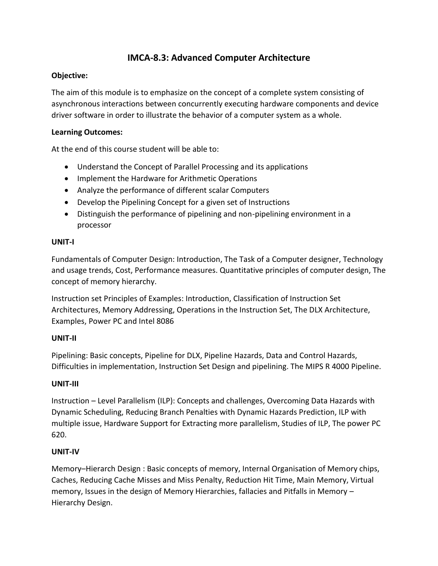# **IMCA-8.3: Advanced Computer Architecture**

#### **Objective:**

The aim of this module is to emphasize on the concept of a complete system consisting of asynchronous interactions between concurrently executing hardware components and device driver software in order to illustrate the behavior of a computer system as a whole.

#### **Learning Outcomes:**

At the end of this course student will be able to:

- Understand the Concept of Parallel Processing and its applications
- Implement the Hardware for Arithmetic Operations
- Analyze the performance of different scalar Computers
- Develop the Pipelining Concept for a given set of Instructions
- Distinguish the performance of pipelining and non-pipelining environment in a processor

#### **UNIT-I**

Fundamentals of Computer Design: Introduction, The Task of a Computer designer, Technology and usage trends, Cost, Performance measures. Quantitative principles of computer design, The concept of memory hierarchy.

Instruction set Principles of Examples: Introduction, Classification of Instruction Set Architectures, Memory Addressing, Operations in the Instruction Set, The DLX Architecture, Examples, Power PC and Intel 8086

#### **UNIT-II**

Pipelining: Basic concepts, Pipeline for DLX, Pipeline Hazards, Data and Control Hazards, Difficulties in implementation, Instruction Set Design and pipelining. The MIPS R 4000 Pipeline.

#### **UNIT-III**

Instruction – Level Parallelism (ILP): Concepts and challenges, Overcoming Data Hazards with Dynamic Scheduling, Reducing Branch Penalties with Dynamic Hazards Prediction, ILP with multiple issue, Hardware Support for Extracting more parallelism, Studies of ILP, The power PC 620.

#### **UNIT-IV**

Memory–Hierarch Design : Basic concepts of memory, Internal Organisation of Memory chips, Caches, Reducing Cache Misses and Miss Penalty, Reduction Hit Time, Main Memory, Virtual memory, Issues in the design of Memory Hierarchies, fallacies and Pitfalls in Memory – Hierarchy Design.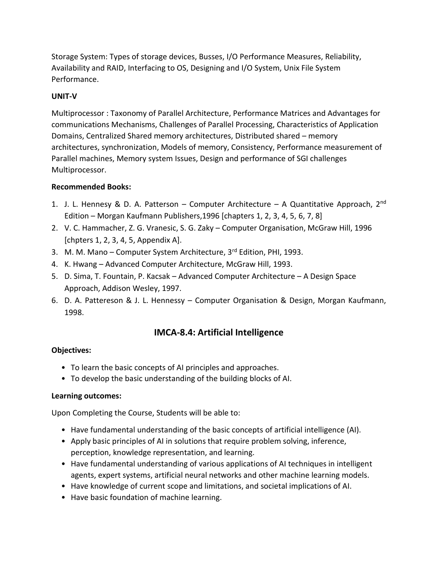Storage System: Types of storage devices, Busses, I/O Performance Measures, Reliability, Availability and RAID, Interfacing to OS, Designing and I/O System, Unix File System Performance.

#### **UNIT-V**

Multiprocessor : Taxonomy of Parallel Architecture, Performance Matrices and Advantages for communications Mechanisms, Challenges of Parallel Processing, Characteristics of Application Domains, Centralized Shared memory architectures, Distributed shared – memory architectures, synchronization, Models of memory, Consistency, Performance measurement of Parallel machines, Memory system Issues, Design and performance of SGI challenges Multiprocessor.

#### **Recommended Books:**

- 1. J. L. Hennesy & D. A. Patterson Computer Architecture A Quantitative Approach,  $2^{nd}$ Edition – Morgan Kaufmann Publishers,1996 [chapters 1, 2, 3, 4, 5, 6, 7, 8]
- 2. V. C. Hammacher, Z. G. Vranesic, S. G. Zaky Computer Organisation, McGraw Hill, 1996 [chpters 1, 2, 3, 4, 5, Appendix A].
- 3. M. M. Mano Computer System Architecture, 3rd Edition, PHI, 1993.
- 4. K. Hwang Advanced Computer Architecture, McGraw Hill, 1993.
- 5. D. Sima, T. Fountain, P. Kacsak Advanced Computer Architecture A Design Space Approach, Addison Wesley, 1997.
- 6. D. A. Pattereson & J. L. Hennessy Computer Organisation & Design, Morgan Kaufmann, 1998.

# **IMCA-8.4: Artificial Intelligence**

#### **Objectives:**

- To learn the basic concepts of AI principles and approaches.
- To develop the basic understanding of the building blocks of AI.

#### **Learning outcomes:**

Upon Completing the Course, Students will be able to:

- Have fundamental understanding of the basic concepts of artificial intelligence (AI).
- Apply basic principles of AI in solutions that require problem solving, inference, perception, knowledge representation, and learning.
- Have fundamental understanding of various applications of AI techniques in intelligent agents, expert systems, artificial neural networks and other machine learning models.
- Have knowledge of current scope and limitations, and societal implications of AI.
- Have basic foundation of machine learning.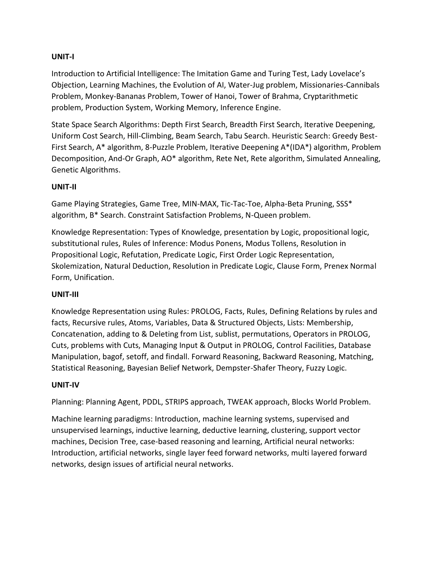#### **UNIT-I**

Introduction to Artificial Intelligence: The Imitation Game and Turing Test, Lady Lovelace's Objection, Learning Machines, the Evolution of AI, Water-Jug problem, Missionaries-Cannibals Problem, Monkey-Bananas Problem, Tower of Hanoi, Tower of Brahma, Cryptarithmetic problem, Production System, Working Memory, Inference Engine.

State Space Search Algorithms: Depth First Search, Breadth First Search, Iterative Deepening, Uniform Cost Search, Hill-Climbing, Beam Search, Tabu Search. Heuristic Search: Greedy Best-First Search, A\* algorithm, 8-Puzzle Problem, Iterative Deepening A\*(IDA\*) algorithm, Problem Decomposition, And-Or Graph, AO\* algorithm, Rete Net, Rete algorithm, Simulated Annealing, Genetic Algorithms.

#### **UNIT-II**

Game Playing Strategies, Game Tree, MIN-MAX, Tic-Tac-Toe, Alpha-Beta Pruning, SSS\* algorithm, B\* Search. Constraint Satisfaction Problems, N-Queen problem.

Knowledge Representation: Types of Knowledge, presentation by Logic, propositional logic, substitutional rules, Rules of Inference: Modus Ponens, Modus Tollens, Resolution in Propositional Logic, Refutation, Predicate Logic, First Order Logic Representation, Skolemization, Natural Deduction, Resolution in Predicate Logic, Clause Form, Prenex Normal Form, Unification.

#### **UNIT-III**

Knowledge Representation using Rules: PROLOG, Facts, Rules, Defining Relations by rules and facts, Recursive rules, Atoms, Variables, Data & Structured Objects, Lists: Membership, Concatenation, adding to & Deleting from List, sublist, permutations, Operators in PROLOG, Cuts, problems with Cuts, Managing Input & Output in PROLOG, Control Facilities, Database Manipulation, bagof, setoff, and findall. Forward Reasoning, Backward Reasoning, Matching, Statistical Reasoning, Bayesian Belief Network, Dempster-Shafer Theory, Fuzzy Logic.

#### **UNIT-IV**

Planning: Planning Agent, PDDL, STRIPS approach, TWEAK approach, Blocks World Problem.

Machine learning paradigms: Introduction, machine learning systems, supervised and unsupervised learnings, inductive learning, deductive learning, clustering, support vector machines, Decision Tree, case-based reasoning and learning, Artificial neural networks: Introduction, artificial networks, single layer feed forward networks, multi layered forward networks, design issues of artificial neural networks.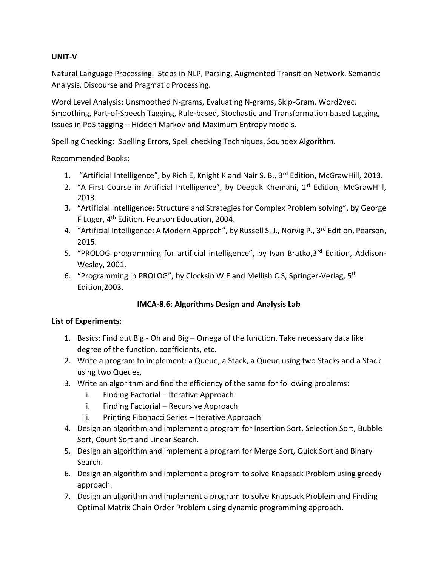#### **UNIT-V**

Natural Language Processing: Steps in NLP, Parsing, Augmented Transition Network, Semantic Analysis, Discourse and Pragmatic Processing.

Word Level Analysis: Unsmoothed N-grams, Evaluating N-grams, Skip-Gram, Word2vec, Smoothing, Part-of-Speech Tagging, Rule-based, Stochastic and Transformation based tagging, Issues in PoS tagging – Hidden Markov and Maximum Entropy models.

Spelling Checking: Spelling Errors, Spell checking Techniques, Soundex Algorithm.

Recommended Books:

- 1. "Artificial Intelligence", by Rich E, Knight K and Nair S. B., 3<sup>rd</sup> Edition, McGrawHill, 2013.
- 2. "A First Course in Artificial Intelligence", by Deepak Khemani, 1<sup>st</sup> Edition, McGrawHill, 2013.
- 3. "Artificial Intelligence: Structure and Strategies for Complex Problem solving", by George F Luger, 4<sup>th</sup> Edition, Pearson Education, 2004.
- 4. "Artificial Intelligence: A Modern Approch", by Russell S. J., Norvig P., 3<sup>rd</sup> Edition, Pearson, 2015.
- 5. "PROLOG programming for artificial intelligence", by Ivan Bratko,3<sup>rd</sup> Edition, Addison-Wesley, 2001.
- 6. "Programming in PROLOG", by Clocksin W.F and Mellish C.S, Springer-Verlag, 5<sup>th</sup> Edition,2003.

#### **IMCA-8.6: Algorithms Design and Analysis Lab**

#### **List of Experiments:**

- 1. Basics: Find out Big Oh and Big Omega of the function. Take necessary data like degree of the function, coefficients, etc.
- 2. Write a program to implement: a Queue, a Stack, a Queue using two Stacks and a Stack using two Queues.
- 3. Write an algorithm and find the efficiency of the same for following problems:
	- i. Finding Factorial Iterative Approach
	- ii. Finding Factorial Recursive Approach
	- iii. Printing Fibonacci Series Iterative Approach
- 4. Design an algorithm and implement a program for Insertion Sort, Selection Sort, Bubble Sort, Count Sort and Linear Search.
- 5. Design an algorithm and implement a program for Merge Sort, Quick Sort and Binary Search.
- 6. Design an algorithm and implement a program to solve Knapsack Problem using greedy approach.
- 7. Design an algorithm and implement a program to solve Knapsack Problem and Finding Optimal Matrix Chain Order Problem using dynamic programming approach.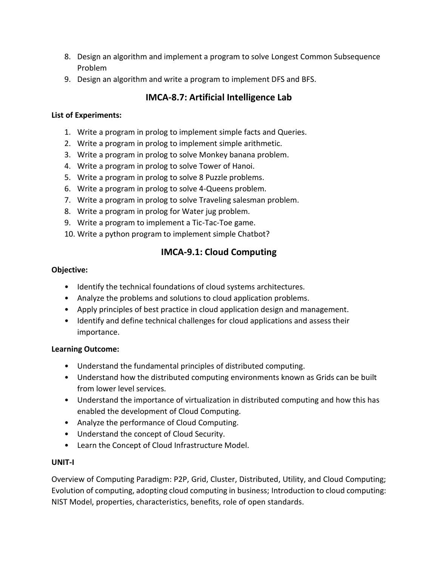- 8. Design an algorithm and implement a program to solve Longest Common Subsequence Problem
- 9. Design an algorithm and write a program to implement DFS and BFS.

# **IMCA-8.7: Artificial Intelligence Lab**

#### **List of Experiments:**

- 1. Write a program in prolog to implement simple facts and Queries.
- 2. Write a program in prolog to implement simple arithmetic.
- 3. Write a program in prolog to solve Monkey banana problem.
- 4. Write a program in prolog to solve Tower of Hanoi.
- 5. Write a program in prolog to solve 8 Puzzle problems.
- 6. Write a program in prolog to solve 4-Queens problem.
- 7. Write a program in prolog to solve Traveling salesman problem.
- 8. Write a program in prolog for Water jug problem.
- 9. Write a program to implement a Tic-Tac-Toe game.
- 10. Write a python program to implement simple Chatbot?

# **IMCA-9.1: Cloud Computing**

#### **Objective:**

- Identify the technical foundations of cloud systems architectures.
- Analyze the problems and solutions to cloud application problems.
- Apply principles of best practice in cloud application design and management.
- Identify and define technical challenges for cloud applications and assess their importance.

#### **Learning Outcome:**

- Understand the fundamental principles of distributed computing.
- Understand how the distributed computing environments known as Grids can be built from lower level services.
- Understand the importance of virtualization in distributed computing and how this has enabled the development of Cloud Computing.
- Analyze the performance of Cloud Computing.
- Understand the concept of Cloud Security.
- Learn the Concept of Cloud Infrastructure Model.

#### **UNIT-I**

Overview of Computing Paradigm: P2P, Grid, Cluster, Distributed, Utility, and Cloud Computing; Evolution of computing, adopting cloud computing in business; Introduction to cloud computing: NIST Model, properties, characteristics, benefits, role of open standards.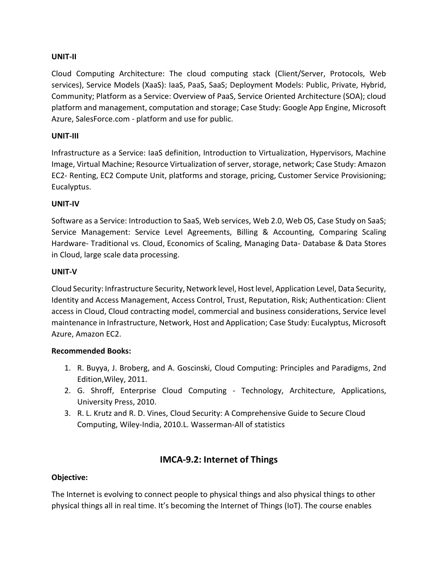#### **UNIT-II**

Cloud Computing Architecture: The cloud computing stack (Client/Server, Protocols, Web services), Service Models (XaaS): IaaS, PaaS, SaaS; Deployment Models: Public, Private, Hybrid, Community; Platform as a Service: Overview of PaaS, Service Oriented Architecture (SOA); cloud platform and management, computation and storage; Case Study: Google App Engine, Microsoft Azure, SalesForce.com - platform and use for public.

#### **UNIT-III**

Infrastructure as a Service: IaaS definition, Introduction to Virtualization, Hypervisors, Machine Image, Virtual Machine; Resource Virtualization of server, storage, network; Case Study: Amazon EC2- Renting, EC2 Compute Unit, platforms and storage, pricing, Customer Service Provisioning; Eucalyptus.

#### **UNIT-IV**

Software as a Service: Introduction to SaaS, Web services, Web 2.0, Web OS, Case Study on SaaS; Service Management: Service Level Agreements, Billing & Accounting, Comparing Scaling Hardware- Traditional vs. Cloud, Economics of Scaling, Managing Data- Database & Data Stores in Cloud, large scale data processing.

#### **UNIT-V**

Cloud Security: Infrastructure Security, Network level, Host level, Application Level, Data Security, Identity and Access Management, Access Control, Trust, Reputation, Risk; Authentication: Client access in Cloud, Cloud contracting model, commercial and business considerations, Service level maintenance in Infrastructure, Network, Host and Application; Case Study: Eucalyptus, Microsoft Azure, Amazon EC2.

#### **Recommended Books:**

- 1. R. Buyya, J. Broberg, and A. Goscinski, Cloud Computing: Principles and Paradigms, 2nd Edition,Wiley, 2011.
- 2. G. Shroff, Enterprise Cloud Computing Technology, Architecture, Applications, University Press, 2010.
- 3. R. L. Krutz and R. D. Vines, Cloud Security: A Comprehensive Guide to Secure Cloud Computing, Wiley-India, 2010.L. Wasserman-All of statistics

# **IMCA-9.2: Internet of Things**

#### **Objective:**

The Internet is evolving to connect people to physical things and also physical things to other physical things all in real time. It's becoming the Internet of Things (IoT). The course enables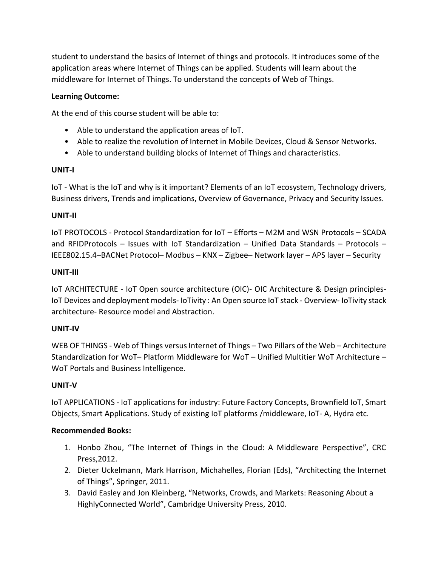student to understand the basics of Internet of things and protocols. It introduces some of the application areas where Internet of Things can be applied. Students will learn about the middleware for Internet of Things. To understand the concepts of Web of Things.

#### **Learning Outcome:**

At the end of this course student will be able to:

- Able to understand the application areas of IoT.
- Able to realize the revolution of Internet in Mobile Devices, Cloud & Sensor Networks.
- Able to understand building blocks of Internet of Things and characteristics.

#### **UNIT-I**

IoT - What is the IoT and why is it important? Elements of an IoT ecosystem, Technology drivers, Business drivers, Trends and implications, Overview of Governance, Privacy and Security Issues.

#### **UNIT-II**

IoT PROTOCOLS - Protocol Standardization for IoT – Efforts – M2M and WSN Protocols – SCADA and RFIDProtocols – Issues with IoT Standardization – Unified Data Standards – Protocols – IEEE802.15.4–BACNet Protocol– Modbus – KNX – Zigbee– Network layer – APS layer – Security

#### **UNIT-III**

IoT ARCHITECTURE - IoT Open source architecture (OIC)- OIC Architecture & Design principles-IoT Devices and deployment models- IoTivity : An Open source IoT stack - Overview- IoTivity stack architecture- Resource model and Abstraction.

#### **UNIT-IV**

WEB OF THINGS - Web of Things versus Internet of Things – Two Pillars of the Web – Architecture Standardization for WoT– Platform Middleware for WoT – Unified Multitier WoT Architecture – WoT Portals and Business Intelligence.

#### **UNIT-V**

IoT APPLICATIONS - IoT applications for industry: Future Factory Concepts, Brownfield IoT, Smart Objects, Smart Applications. Study of existing IoT platforms /middleware, IoT- A, Hydra etc.

#### **Recommended Books:**

- 1. Honbo Zhou, "The Internet of Things in the Cloud: A Middleware Perspective", CRC Press,2012.
- 2. Dieter Uckelmann, Mark Harrison, Michahelles, Florian (Eds), "Architecting the Internet of Things", Springer, 2011.
- 3. David Easley and Jon Kleinberg, "Networks, Crowds, and Markets: Reasoning About a HighlyConnected World", Cambridge University Press, 2010.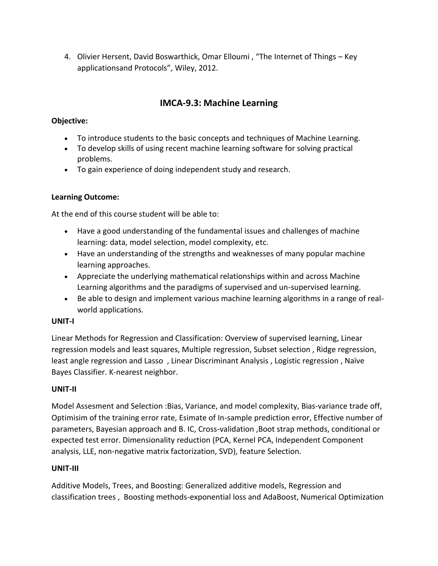4. Olivier Hersent, David Boswarthick, Omar Elloumi , "The Internet of Things – Key applicationsand Protocols", Wiley, 2012.

# **IMCA-9.3: Machine Learning**

# **Objective:**

- To introduce students to the basic concepts and techniques of Machine Learning.
- To develop skills of using recent machine learning software for solving practical problems.
- To gain experience of doing independent study and research.

### **Learning Outcome:**

At the end of this course student will be able to:

- Have a good understanding of the fundamental issues and challenges of machine learning: data, model selection, model complexity, etc.
- Have an understanding of the strengths and weaknesses of many popular machine learning approaches.
- Appreciate the underlying mathematical relationships within and across Machine Learning algorithms and the paradigms of supervised and un-supervised learning.
- Be able to design and implement various machine learning algorithms in a range of realworld applications.

#### **UNIT-I**

Linear Methods for Regression and Classification: Overview of supervised learning, Linear regression models and least squares, Multiple regression, Subset selection , Ridge regression, least angle regression and Lasso , Linear Discriminant Analysis , Logistic regression , Naïve Bayes Classifier. K-nearest neighbor.

# **UNIT-II**

Model Assesment and Selection :Bias, Variance, and model complexity, Bias-variance trade off, Optimisim of the training error rate, Esimate of In-sample prediction error, Effective number of parameters, Bayesian approach and B. IC, Cross-validation ,Boot strap methods, conditional or expected test error. Dimensionality reduction (PCA, Kernel PCA, Independent Component analysis, LLE, non-negative matrix factorization, SVD), feature Selection.

#### **UNIT-III**

Additive Models, Trees, and Boosting: Generalized additive models, Regression and classification trees , Boosting methods-exponential loss and AdaBoost, Numerical Optimization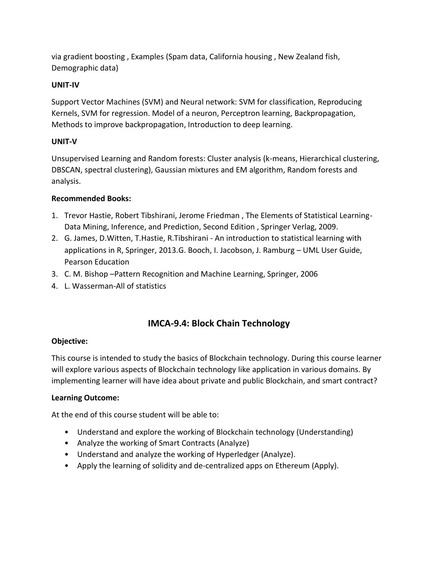via gradient boosting , Examples (Spam data, California housing , New Zealand fish, Demographic data)

#### **UNIT-IV**

Support Vector Machines (SVM) and Neural network: SVM for classification, Reproducing Kernels, SVM for regression. Model of a neuron, Perceptron learning, Backpropagation, Methods to improve backpropagation, Introduction to deep learning.

### **UNIT-V**

Unsupervised Learning and Random forests: Cluster analysis (k-means, Hierarchical clustering, DBSCAN, spectral clustering), Gaussian mixtures and EM algorithm, Random forests and analysis.

### **Recommended Books:**

- 1. Trevor Hastie, Robert Tibshirani, Jerome Friedman , The Elements of Statistical Learning-Data Mining, Inference, and Prediction, Second Edition , Springer Verlag, 2009.
- 2. G. James, D.Witten, T.Hastie, R.Tibshirani An introduction to statistical learning with applications in R, Springer, 2013.G. Booch, I. Jacobson, J. Ramburg – UML User Guide, Pearson Education
- 3. C. M. Bishop –Pattern Recognition and Machine Learning, Springer, 2006
- 4. L. Wasserman-All of statistics

# **IMCA-9.4: Block Chain Technology**

#### **Objective:**

This course is intended to study the basics of Blockchain technology. During this course learner will explore various aspects of Blockchain technology like application in various domains. By implementing learner will have idea about private and public Blockchain, and smart contract?

#### **Learning Outcome:**

At the end of this course student will be able to:

- Understand and explore the working of Blockchain technology (Understanding)
- Analyze the working of Smart Contracts (Analyze)
- Understand and analyze the working of Hyperledger (Analyze).
- Apply the learning of solidity and de-centralized apps on Ethereum (Apply).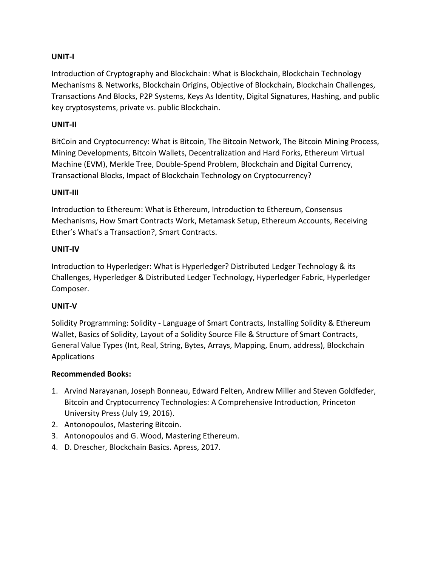#### **UNIT-I**

Introduction of Cryptography and Blockchain: What is Blockchain, Blockchain Technology Mechanisms & Networks, Blockchain Origins, Objective of Blockchain, Blockchain Challenges, Transactions And Blocks, P2P Systems, Keys As Identity, Digital Signatures, Hashing, and public key cryptosystems, private vs. public Blockchain.

#### **UNIT-II**

BitCoin and Cryptocurrency: What is Bitcoin, The Bitcoin Network, The Bitcoin Mining Process, Mining Developments, Bitcoin Wallets, Decentralization and Hard Forks, Ethereum Virtual Machine (EVM), Merkle Tree, Double-Spend Problem, Blockchain and Digital Currency, Transactional Blocks, Impact of Blockchain Technology on Cryptocurrency?

#### **UNIT-III**

Introduction to Ethereum: What is Ethereum, Introduction to Ethereum, Consensus Mechanisms, How Smart Contracts Work, Metamask Setup, Ethereum Accounts, Receiving Ether's What's a Transaction?, Smart Contracts.

#### **UNIT-IV**

Introduction to Hyperledger: What is Hyperledger? Distributed Ledger Technology & its Challenges, Hyperledger & Distributed Ledger Technology, Hyperledger Fabric, Hyperledger Composer.

#### **UNIT-V**

Solidity Programming: Solidity - Language of Smart Contracts, Installing Solidity & Ethereum Wallet, Basics of Solidity, Layout of a Solidity Source File & Structure of Smart Contracts, General Value Types (Int, Real, String, Bytes, Arrays, Mapping, Enum, address), Blockchain Applications

#### **Recommended Books:**

- 1. Arvind Narayanan, Joseph Bonneau, Edward Felten, Andrew Miller and Steven Goldfeder, Bitcoin and Cryptocurrency Technologies: A Comprehensive Introduction, Princeton University Press (July 19, 2016).
- 2. Antonopoulos, Mastering Bitcoin.
- 3. Antonopoulos and G. Wood, Mastering Ethereum.
- 4. D. Drescher, Blockchain Basics. Apress, 2017.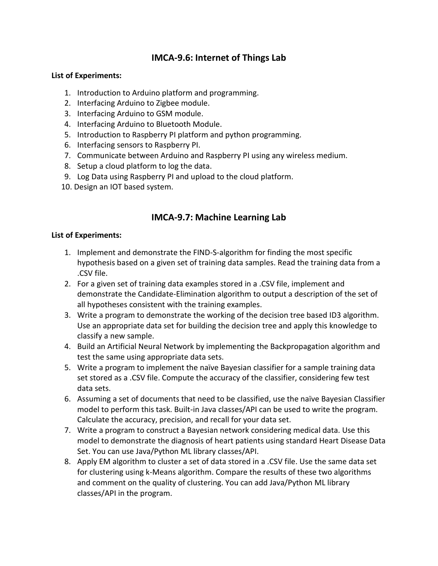# **IMCA-9.6: Internet of Things Lab**

#### **List of Experiments:**

- 1. Introduction to Arduino platform and programming.
- 2. Interfacing Arduino to Zigbee module.
- 3. Interfacing Arduino to GSM module.
- 4. Interfacing Arduino to Bluetooth Module.
- 5. Introduction to Raspberry PI platform and python programming.
- 6. Interfacing sensors to Raspberry PI.
- 7. Communicate between Arduino and Raspberry PI using any wireless medium.
- 8. Setup a cloud platform to log the data.
- 9. Log Data using Raspberry PI and upload to the cloud platform.
- 10. Design an IOT based system.

# **IMCA-9.7: Machine Learning Lab**

#### **List of Experiments:**

- 1. Implement and demonstrate the FIND-S-algorithm for finding the most specific hypothesis based on a given set of training data samples. Read the training data from a .CSV file.
- 2. For a given set of training data examples stored in a .CSV file, implement and demonstrate the Candidate-Elimination algorithm to output a description of the set of all hypotheses consistent with the training examples.
- 3. Write a program to demonstrate the working of the decision tree based ID3 algorithm. Use an appropriate data set for building the decision tree and apply this knowledge to classify a new sample.
- 4. Build an Artificial Neural Network by implementing the Backpropagation algorithm and test the same using appropriate data sets.
- 5. Write a program to implement the naïve Bayesian classifier for a sample training data set stored as a .CSV file. Compute the accuracy of the classifier, considering few test data sets.
- 6. Assuming a set of documents that need to be classified, use the naïve Bayesian Classifier model to perform this task. Built-in Java classes/API can be used to write the program. Calculate the accuracy, precision, and recall for your data set.
- 7. Write a program to construct a Bayesian network considering medical data. Use this model to demonstrate the diagnosis of heart patients using standard Heart Disease Data Set. You can use Java/Python ML library classes/API.
- 8. Apply EM algorithm to cluster a set of data stored in a .CSV file. Use the same data set for clustering using k-Means algorithm. Compare the results of these two algorithms and comment on the quality of clustering. You can add Java/Python ML library classes/API in the program.